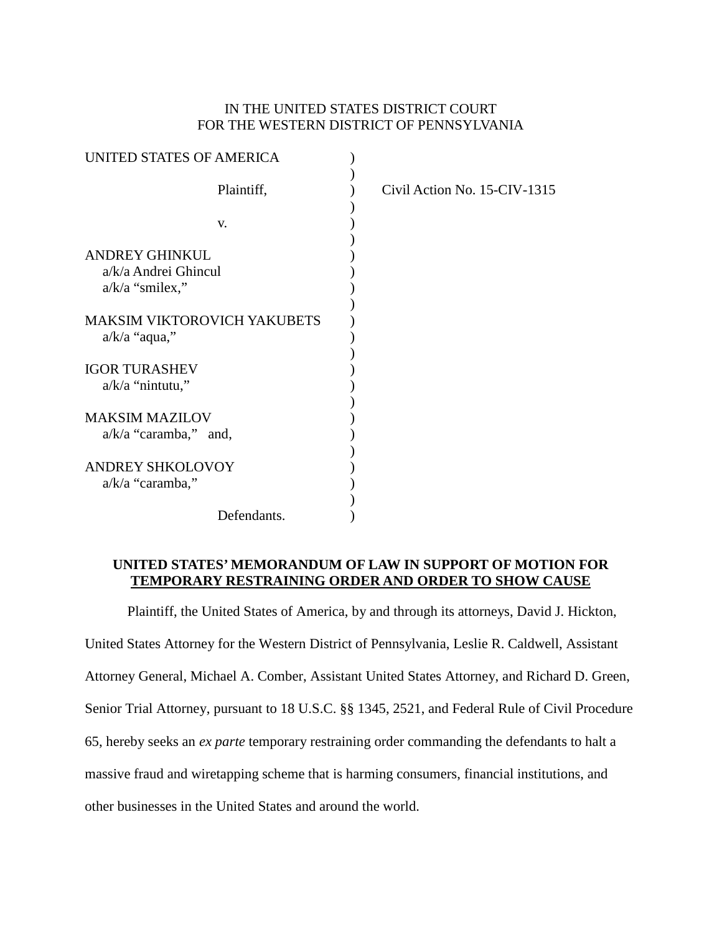# IN THE UNITED STATES DISTRICT COURT FOR THE WESTERN DISTRICT OF PENNSYLVANIA

| UNITED STATES OF AMERICA                                    |             |                              |
|-------------------------------------------------------------|-------------|------------------------------|
|                                                             | Plaintiff,  | Civil Action No. 15-CIV-1315 |
| V.                                                          |             |                              |
| ANDREY GHINKUL<br>a/k/a Andrei Ghincul<br>$a/k/a$ "smilex," |             |                              |
| <b>MAKSIM VIKTOROVICH YAKUBETS</b><br>$a/k/a$ "aqua,"       |             |                              |
| <b>IGOR TURASHEV</b><br>$a/k/a$ "nintutu,"                  |             |                              |
| <b>MAKSIM MAZILOV</b><br>$a/k/a$ "caramba," and,            |             |                              |
| <b>ANDREY SHKOLOVOY</b><br>a/k/a "caramba,"                 |             |                              |
|                                                             | Defendants. |                              |

## **UNITED STATES' MEMORANDUM OF LAW IN SUPPORT OF MOTION FOR TEMPORARY RESTRAINING ORDER AND ORDER TO SHOW CAUSE**

Plaintiff, the United States of America, by and through its attorneys, David J. Hickton,

United States Attorney for the Western District of Pennsylvania, Leslie R. Caldwell, Assistant

Attorney General, Michael A. Comber, Assistant United States Attorney, and Richard D. Green,

Senior Trial Attorney, pursuant to 18 U.S.C. §§ 1345, 2521, and Federal Rule of Civil Procedure

65, hereby seeks an *ex parte* temporary restraining order commanding the defendants to halt a

massive fraud and wiretapping scheme that is harming consumers, financial institutions, and

other businesses in the United States and around the world.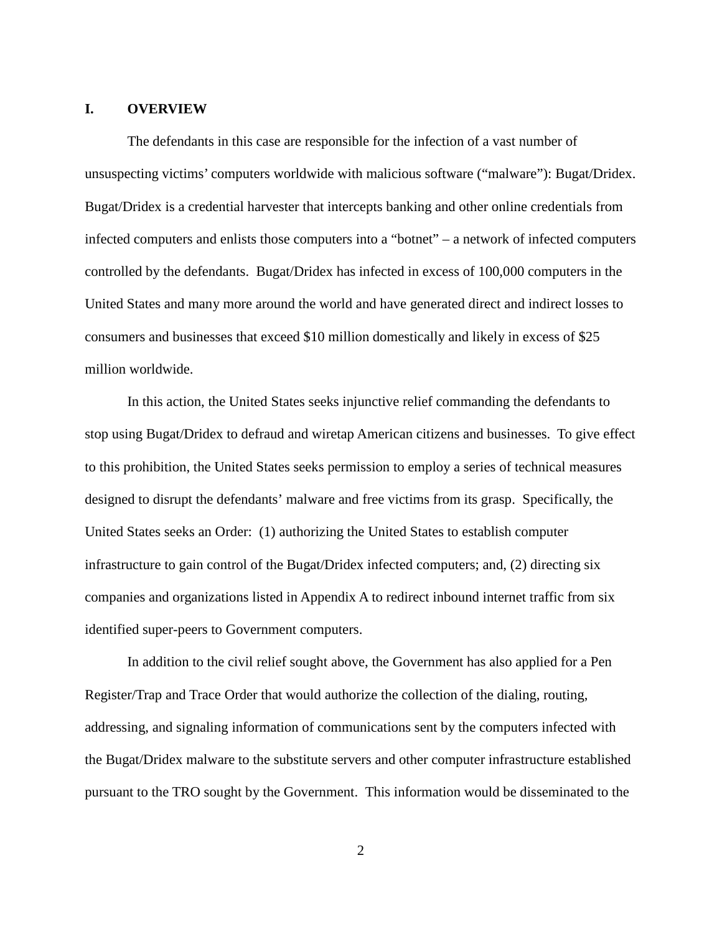#### **I. OVERVIEW**

The defendants in this case are responsible for the infection of a vast number of unsuspecting victims' computers worldwide with malicious software ("malware"): Bugat/Dridex. Bugat/Dridex is a credential harvester that intercepts banking and other online credentials from infected computers and enlists those computers into a "botnet" – a network of infected computers controlled by the defendants. Bugat/Dridex has infected in excess of 100,000 computers in the United States and many more around the world and have generated direct and indirect losses to consumers and businesses that exceed \$10 million domestically and likely in excess of \$25 million worldwide.

In this action, the United States seeks injunctive relief commanding the defendants to stop using Bugat/Dridex to defraud and wiretap American citizens and businesses. To give effect to this prohibition, the United States seeks permission to employ a series of technical measures designed to disrupt the defendants' malware and free victims from its grasp. Specifically, the United States seeks an Order: (1) authorizing the United States to establish computer infrastructure to gain control of the Bugat/Dridex infected computers; and, (2) directing six companies and organizations listed in Appendix A to redirect inbound internet traffic from six identified super-peers to Government computers.

In addition to the civil relief sought above, the Government has also applied for a Pen Register/Trap and Trace Order that would authorize the collection of the dialing, routing, addressing, and signaling information of communications sent by the computers infected with the Bugat/Dridex malware to the substitute servers and other computer infrastructure established pursuant to the TRO sought by the Government. This information would be disseminated to the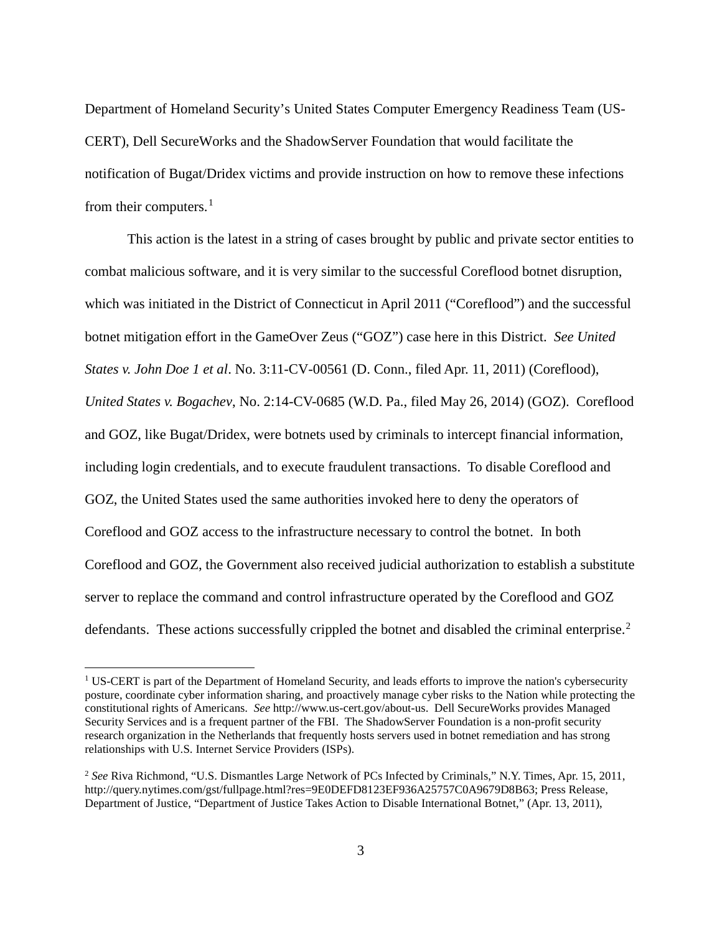Department of Homeland Security's United States Computer Emergency Readiness Team (US-CERT), Dell SecureWorks and the ShadowServer Foundation that would facilitate the notification of Bugat/Dridex victims and provide instruction on how to remove these infections from their computers. $<sup>1</sup>$  $<sup>1</sup>$  $<sup>1</sup>$ </sup>

This action is the latest in a string of cases brought by public and private sector entities to combat malicious software, and it is very similar to the successful Coreflood botnet disruption, which was initiated in the District of Connecticut in April 2011 ("Coreflood") and the successful botnet mitigation effort in the GameOver Zeus ("GOZ") case here in this District. *See United States v. John Doe 1 et al*. No. 3:11-CV-00561 (D. Conn., filed Apr. 11, 2011) (Coreflood), *United States v. Bogachev*, No. 2:14-CV-0685 (W.D. Pa., filed May 26, 2014) (GOZ). Coreflood and GOZ, like Bugat/Dridex, were botnets used by criminals to intercept financial information, including login credentials, and to execute fraudulent transactions. To disable Coreflood and GOZ, the United States used the same authorities invoked here to deny the operators of Coreflood and GOZ access to the infrastructure necessary to control the botnet. In both Coreflood and GOZ, the Government also received judicial authorization to establish a substitute server to replace the command and control infrastructure operated by the Coreflood and GOZ defendants. These actions successfully crippled the botnet and disabled the criminal enterprise.<sup>[2](#page-2-1)</sup>

<span id="page-2-0"></span><sup>&</sup>lt;sup>1</sup> US-CERT is part of the Department of Homeland Security, and leads efforts to improve the nation's cybersecurity posture, coordinate cyber information sharing, and proactively manage cyber risks to the Nation while protecting the constitutional rights of Americans. *See* http://www.us-cert.gov/about-us. Dell SecureWorks provides Managed Security Services and is a frequent partner of the FBI. The ShadowServer Foundation is a non-profit security research organization in the Netherlands that frequently hosts servers used in botnet remediation and has strong relationships with U.S. Internet Service Providers (ISPs).

<span id="page-2-1"></span><sup>2</sup> *See* Riva Richmond, "U.S. Dismantles Large Network of PCs Infected by Criminals," N.Y. Times, Apr. 15, 2011, http://query.nytimes.com/gst/fullpage.html?res=9E0DEFD8123EF936A25757C0A9679D8B63; Press Release, Department of Justice, "Department of Justice Takes Action to Disable International Botnet," (Apr. 13, 2011),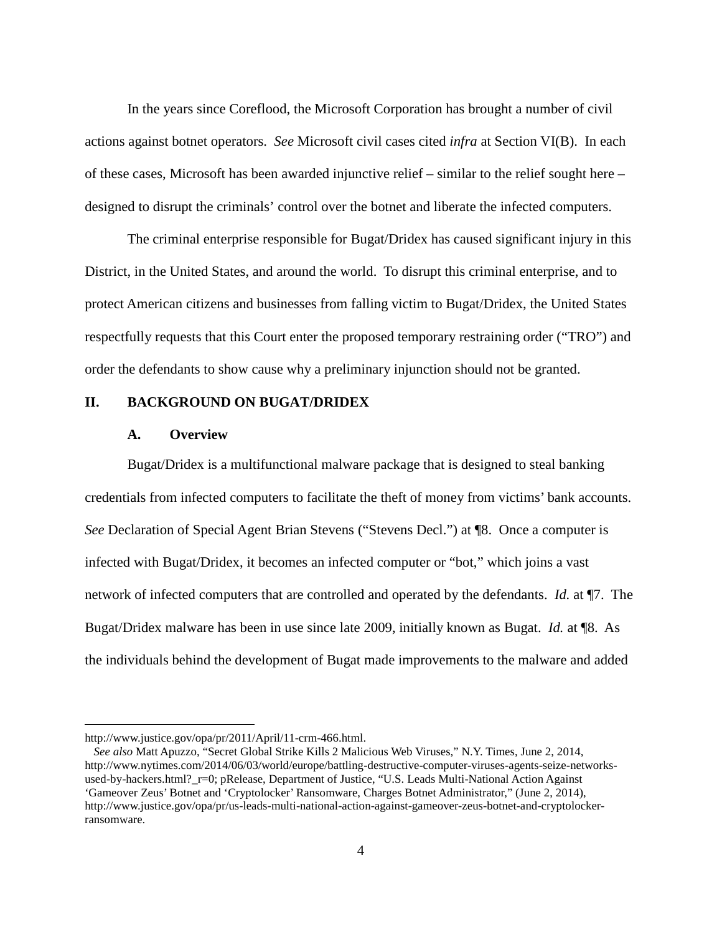In the years since Coreflood, the Microsoft Corporation has brought a number of civil actions against botnet operators. *See* Microsoft civil cases cited *infra* at Section VI(B). In each of these cases, Microsoft has been awarded injunctive relief – similar to the relief sought here – designed to disrupt the criminals' control over the botnet and liberate the infected computers.

The criminal enterprise responsible for Bugat/Dridex has caused significant injury in this District, in the United States, and around the world. To disrupt this criminal enterprise, and to protect American citizens and businesses from falling victim to Bugat/Dridex, the United States respectfully requests that this Court enter the proposed temporary restraining order ("TRO") and order the defendants to show cause why a preliminary injunction should not be granted.

## **II. BACKGROUND ON BUGAT/DRIDEX**

#### **A. Overview**

Bugat/Dridex is a multifunctional malware package that is designed to steal banking credentials from infected computers to facilitate the theft of money from victims' bank accounts. *See* Declaration of Special Agent Brian Stevens ("Stevens Decl.") at ¶8. Once a computer is infected with Bugat/Dridex, it becomes an infected computer or "bot," which joins a vast network of infected computers that are controlled and operated by the defendants. *Id.* at ¶7. The Bugat/Dridex malware has been in use since late 2009, initially known as Bugat. *Id.* at ¶8. As the individuals behind the development of Bugat made improvements to the malware and added

 $\overline{a}$ 

http://www.justice.gov/opa/pr/2011/April/11-crm-466.html.

*See also* Matt Apuzzo, "Secret Global Strike Kills 2 Malicious Web Viruses," N.Y. Times, June 2, 2014, http://www.nytimes.com/2014/06/03/world/europe/battling-destructive-computer-viruses-agents-seize-networksused-by-hackers.html?\_r=0; pRelease, Department of Justice, "U.S. Leads Multi-National Action Against 'Gameover Zeus' Botnet and 'Cryptolocker' Ransomware, Charges Botnet Administrator," (June 2, 2014), http://www.justice.gov/opa/pr/us-leads-multi-national-action-against-gameover-zeus-botnet-and-cryptolockerransomware.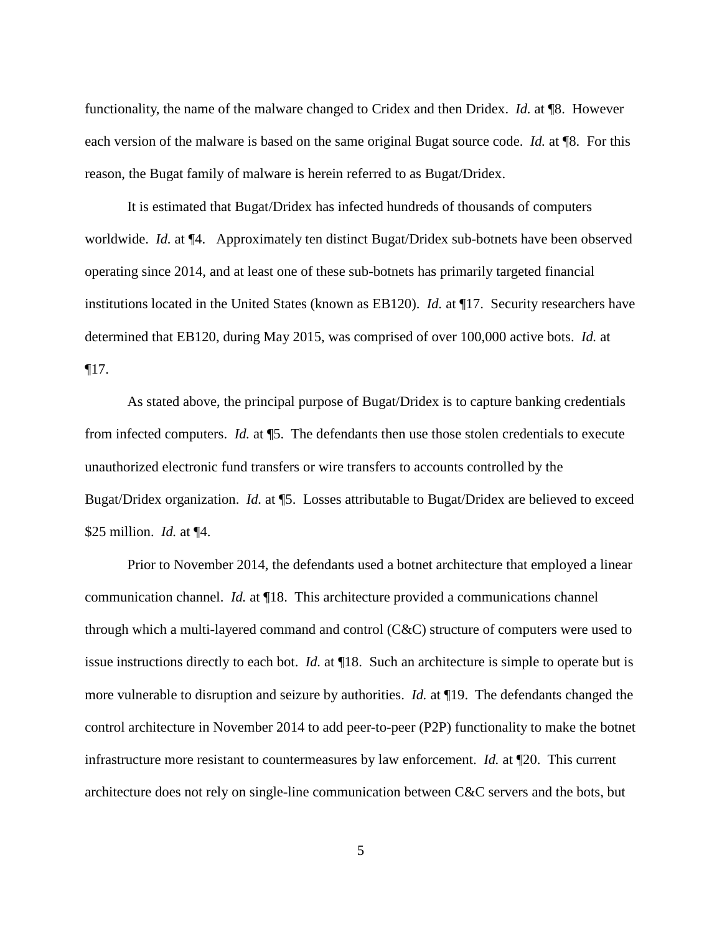functionality, the name of the malware changed to Cridex and then Dridex. *Id.* at ¶8. However each version of the malware is based on the same original Bugat source code. *Id.* at ¶8. For this reason, the Bugat family of malware is herein referred to as Bugat/Dridex.

It is estimated that Bugat/Dridex has infected hundreds of thousands of computers worldwide. *Id.* at ¶4. Approximately ten distinct Bugat/Dridex sub-botnets have been observed operating since 2014, and at least one of these sub-botnets has primarily targeted financial institutions located in the United States (known as EB120). *Id.* at ¶17. Security researchers have determined that EB120, during May 2015, was comprised of over 100,000 active bots. *Id.* at ¶17.

As stated above, the principal purpose of Bugat/Dridex is to capture banking credentials from infected computers. *Id.* at ¶5. The defendants then use those stolen credentials to execute unauthorized electronic fund transfers or wire transfers to accounts controlled by the Bugat/Dridex organization. *Id.* at ¶5. Losses attributable to Bugat/Dridex are believed to exceed \$25 million. *Id.* at ¶4.

Prior to November 2014, the defendants used a botnet architecture that employed a linear communication channel. *Id.* at ¶18. This architecture provided a communications channel through which a multi-layered command and control (C&C) structure of computers were used to issue instructions directly to each bot. *Id.* at ¶18. Such an architecture is simple to operate but is more vulnerable to disruption and seizure by authorities. *Id.* at ¶19. The defendants changed the control architecture in November 2014 to add peer-to-peer (P2P) functionality to make the botnet infrastructure more resistant to countermeasures by law enforcement. *Id.* at ¶20. This current architecture does not rely on single-line communication between C&C servers and the bots, but

5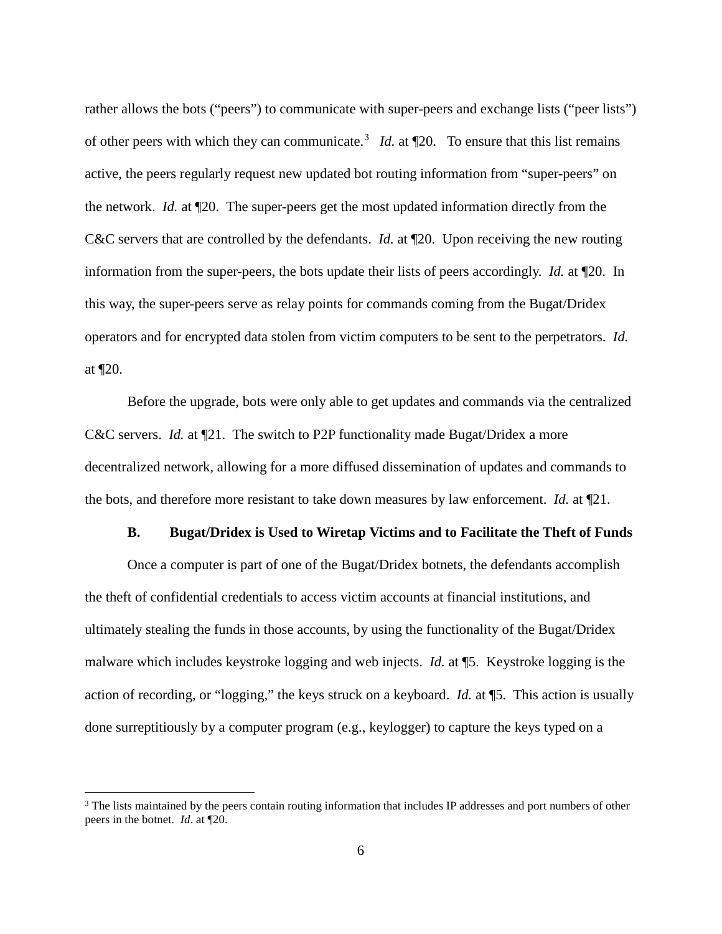rather allows the bots ("peers") to communicate with super-peers and exchange lists ("peer lists") of other peers with which they can communicate.<sup>[3](#page-5-0)</sup> *Id.* at  $\mathbb{I}20$ . To ensure that this list remains active, the peers regularly request new updated bot routing information from "super-peers" on the network. *Id.* at ¶20. The super-peers get the most updated information directly from the C&C servers that are controlled by the defendants. *Id.* at ¶20. Upon receiving the new routing information from the super-peers, the bots update their lists of peers accordingly. *Id.* at ¶20. In this way, the super-peers serve as relay points for commands coming from the Bugat/Dridex operators and for encrypted data stolen from victim computers to be sent to the perpetrators. *Id.* at ¶20.

Before the upgrade, bots were only able to get updates and commands via the centralized C&C servers. *Id.* at  $\P$ 21. The switch to P2P functionality made Bugat/Dridex a more decentralized network, allowing for a more diffused dissemination of updates and commands to the bots, and therefore more resistant to take down measures by law enforcement. *Id.* at ¶21.

# **B. Bugat/Dridex is Used to Wiretap Victims and to Facilitate the Theft of Funds**

Once a computer is part of one of the Bugat/Dridex botnets, the defendants accomplish the theft of confidential credentials to access victim accounts at financial institutions, and ultimately stealing the funds in those accounts, by using the functionality of the Bugat/Dridex malware which includes keystroke logging and web injects. *Id.* at ¶5. Keystroke logging is the action of recording, or "logging," the keys struck on a keyboard. *Id.* at ¶5. This action is usually done surreptitiously by a computer program (e.g., keylogger) to capture the keys typed on a

<span id="page-5-0"></span><sup>&</sup>lt;sup>3</sup> The lists maintained by the peers contain routing information that includes IP addresses and port numbers of other peers in the botnet. *Id*. at ¶20.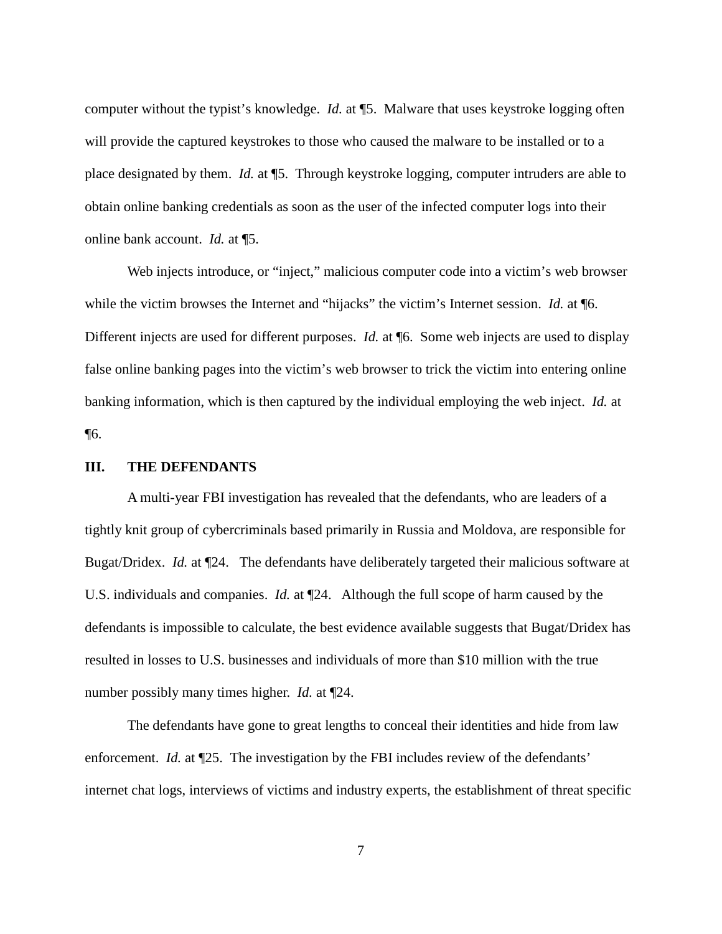computer without the typist's knowledge. *Id.* at ¶5. Malware that uses keystroke logging often will provide the captured keystrokes to those who caused the malware to be installed or to a place designated by them. *Id.* at ¶5. Through keystroke logging, computer intruders are able to obtain online banking credentials as soon as the user of the infected computer logs into their online bank account. *Id.* at ¶5.

Web injects introduce, or "inject," malicious computer code into a victim's web browser while the victim browses the Internet and "hijacks" the victim's Internet session. *Id.* at ¶6. Different injects are used for different purposes. *Id.* at ¶6. Some web injects are used to display false online banking pages into the victim's web browser to trick the victim into entering online banking information, which is then captured by the individual employing the web inject. *Id.* at ¶6.

## **III. THE DEFENDANTS**

A multi-year FBI investigation has revealed that the defendants, who are leaders of a tightly knit group of cybercriminals based primarily in Russia and Moldova, are responsible for Bugat/Dridex. *Id.* at ¶24. The defendants have deliberately targeted their malicious software at U.S. individuals and companies. *Id.* at ¶24. Although the full scope of harm caused by the defendants is impossible to calculate, the best evidence available suggests that Bugat/Dridex has resulted in losses to U.S. businesses and individuals of more than \$10 million with the true number possibly many times higher. *Id.* at ¶24.

The defendants have gone to great lengths to conceal their identities and hide from law enforcement. *Id.* at  $\P$ 25. The investigation by the FBI includes review of the defendants' internet chat logs, interviews of victims and industry experts, the establishment of threat specific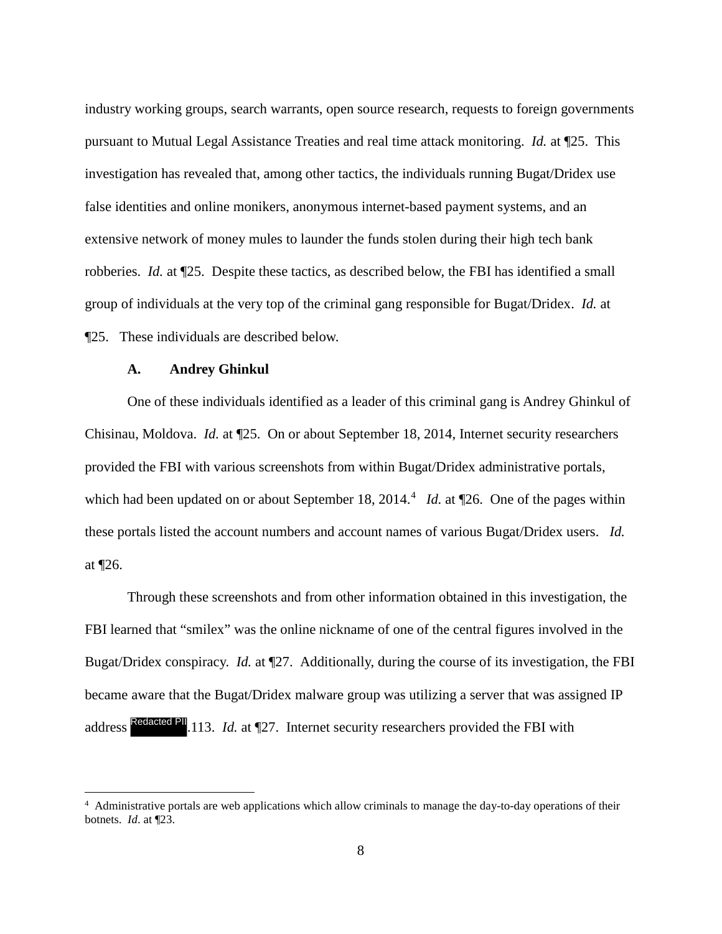industry working groups, search warrants, open source research, requests to foreign governments pursuant to Mutual Legal Assistance Treaties and real time attack monitoring. *Id.* at ¶25. This investigation has revealed that, among other tactics, the individuals running Bugat/Dridex use false identities and online monikers, anonymous internet-based payment systems, and an extensive network of money mules to launder the funds stolen during their high tech bank robberies. *Id.* at ¶25. Despite these tactics, as described below, the FBI has identified a small group of individuals at the very top of the criminal gang responsible for Bugat/Dridex. *Id.* at ¶25. These individuals are described below.

#### **A. Andrey Ghinkul**

 $\overline{a}$ 

One of these individuals identified as a leader of this criminal gang is Andrey Ghinkul of Chisinau, Moldova. *Id.* at ¶25. On or about September 18, 2014, Internet security researchers provided the FBI with various screenshots from within Bugat/Dridex administrative portals, which had been updated on or about September 18, 201[4](#page-7-0).<sup>4</sup> *Id.* at  $\P$ 26. One of the pages within these portals listed the account numbers and account names of various Bugat/Dridex users. *Id.* at ¶26.

Through these screenshots and from other information obtained in this investigation, the FBI learned that "smilex" was the online nickname of one of the central figures involved in the Bugat/Dridex conspiracy. *Id.* at ¶27. Additionally, during the course of its investigation, the FBI became aware that the Bugat/Dridex malware group was utilizing a server that was assigned IP address Redacted PII<sub>.113</sub>. *Id.* at 127. Internet security researchers provided the FBI with

<span id="page-7-0"></span><sup>&</sup>lt;sup>4</sup> Administrative portals are web applications which allow criminals to manage the day-to-day operations of their botnets. *Id*. at ¶23.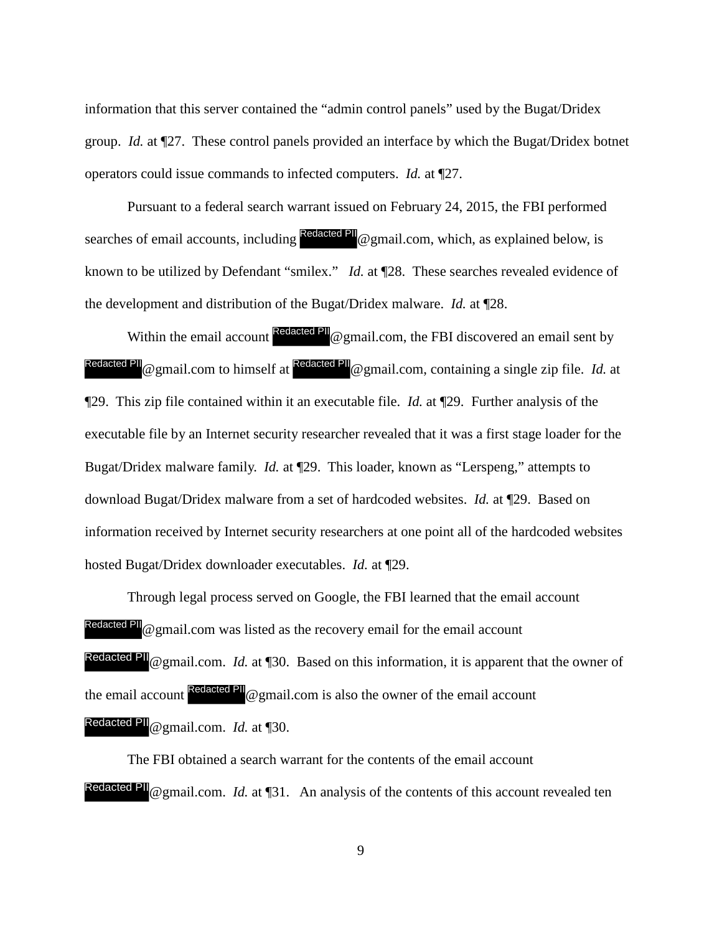information that this server contained the "admin control panels" used by the Bugat/Dridex group. *Id.* at ¶27. These control panels provided an interface by which the Bugat/Dridex botnet operators could issue commands to infected computers. *Id.* at ¶27.

Pursuant to a federal search warrant issued on February 24, 2015, the FBI performed searches of email accounts, including Redacted PII @ gmail.com, which, as explained below, is known to be utilized by Defendant "smilex." *Id.* at ¶28. These searches revealed evidence of the development and distribution of the Bugat/Dridex malware. *Id.* at ¶28.

Within the email account  $\frac{Redacted \text{ PI}}{Q}$  gmail.com, the FBI discovered an email sent by Redacted PII @ gmail.com to himself at <sup>Redacted PII</sup> @ gmail.com, containing a single zip file. *Id.* at ¶29. This zip file contained within it an executable file. *Id.* at ¶29. Further analysis of the executable file by an Internet security researcher revealed that it was a first stage loader for the Bugat/Dridex malware family. *Id.* at ¶29. This loader, known as "Lerspeng," attempts to download Bugat/Dridex malware from a set of hardcoded websites. *Id.* at ¶29. Based on information received by Internet security researchers at one point all of the hardcoded websites hosted Bugat/Dridex downloader executables. *Id.* at ¶29.

Through legal process served on Google, the FBI learned that the email account Redacted PII @ gmail.com was listed as the recovery email for the email account Redacted PII @ gmail.com. *Id.* at ¶30. Based on this information, it is apparent that the owner of the email account Redacted PII @ gmail.com is also the owner of the email account Redacted PII @ gmail.com. *Id.* at ¶30.

The FBI obtained a search warrant for the contents of the email account Redacted PII @ gmail.com. *Id.* at  $\P$ 31. An analysis of the contents of this account revealed ten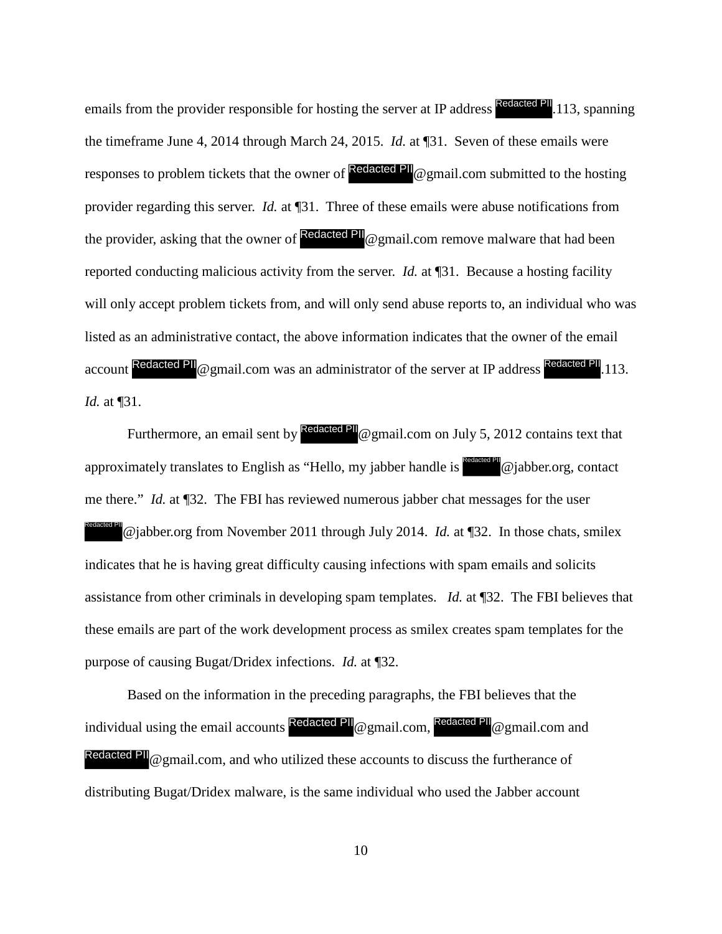emails from the provider responsible for hosting the server at IP address Redacted PII. 113, spanning the timeframe June 4, 2014 through March 24, 2015. *Id.* at ¶31. Seven of these emails were responses to problem tickets that the owner of **Redacted PII** @gmail.com submitted to the hosting provider regarding this server. *Id.* at ¶31. Three of these emails were abuse notifications from the provider, asking that the owner of  $\frac{Re\ddot{a}t}{\dot{a}t}$  a gmail.com remove malware that had been reported conducting malicious activity from the server. *Id.* at ¶31. Because a hosting facility will only accept problem tickets from, and will only send abuse reports to, an individual who was listed as an administrative contact, the above information indicates that the owner of the email account Redacted PII @ gmail.com was an administrator of the server at IP address Redacted PII.113. *Id.* at ¶31.

Furthermore, an email sent by  $\frac{\text{Reduced PIL}}{Q \text{ gmail.com}}$  on July 5, 2012 contains text that approximately translates to English as "Hello, my jabber handle is  $\frac{\text{Redated PH}}{w}$ @jabber.org, contact me there." *Id.* at ¶32. The FBI has reviewed numerous jabber chat messages for the user @jabber.org from November 2011 through July 2014. *Id.* at ¶32. In those chats, smilex indicates that he is having great difficulty causing infections with spam emails and solicits assistance from other criminals in developing spam templates. *Id.* at ¶32. The FBI believes that these emails are part of the work development process as smilex creates spam templates for the purpose of causing Bugat/Dridex infections. *Id.* at ¶32. Redacted PII

Based on the information in the preceding paragraphs, the FBI believes that the individual using the email accounts Redacted PII @gmail.com, Redacted PII @gmail.com and Redacted PII  $\omega$  gmail.com, and who utilized these accounts to discuss the furtherance of distributing Bugat/Dridex malware, is the same individual who used the Jabber account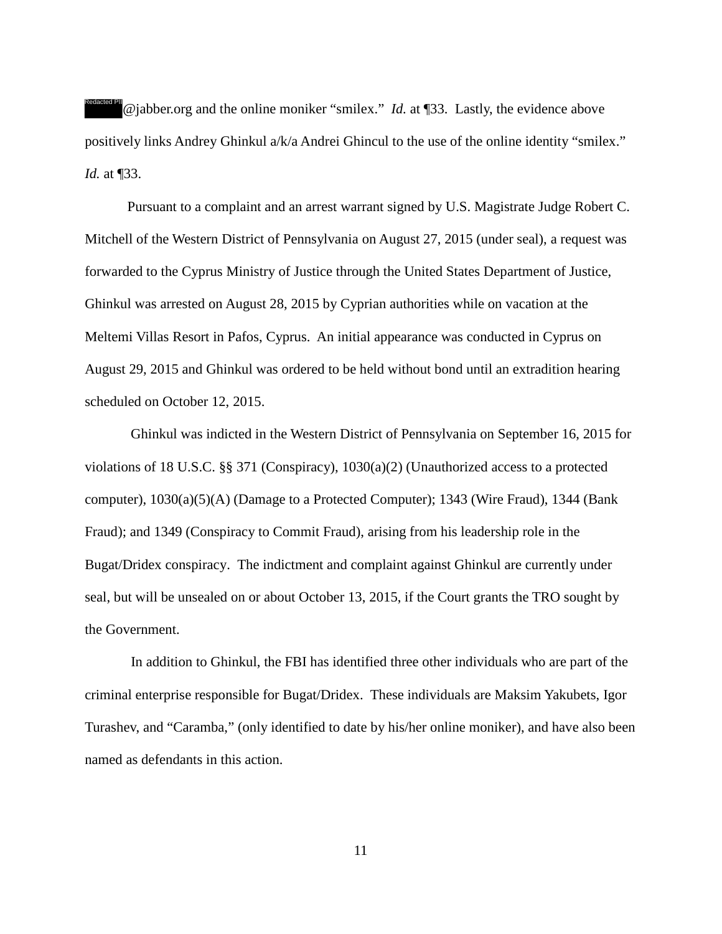@jabber.org and the online moniker "smilex." *Id.* at ¶33. Lastly, the evidence above positively links Andrey Ghinkul a/k/a Andrei Ghincul to the use of the online identity "smilex." *Id.* at ¶33. Redacted PII

Pursuant to a complaint and an arrest warrant signed by U.S. Magistrate Judge Robert C. Mitchell of the Western District of Pennsylvania on August 27, 2015 (under seal), a request was forwarded to the Cyprus Ministry of Justice through the United States Department of Justice, Ghinkul was arrested on August 28, 2015 by Cyprian authorities while on vacation at the Meltemi Villas Resort in Pafos, Cyprus. An initial appearance was conducted in Cyprus on August 29, 2015 and Ghinkul was ordered to be held without bond until an extradition hearing scheduled on October 12, 2015.

 Ghinkul was indicted in the Western District of Pennsylvania on September 16, 2015 for violations of 18 U.S.C. §§ 371 (Conspiracy), 1030(a)(2) (Unauthorized access to a protected computer), 1030(a)(5)(A) (Damage to a Protected Computer); 1343 (Wire Fraud), 1344 (Bank Fraud); and 1349 (Conspiracy to Commit Fraud), arising from his leadership role in the Bugat/Dridex conspiracy. The indictment and complaint against Ghinkul are currently under seal, but will be unsealed on or about October 13, 2015, if the Court grants the TRO sought by the Government.

 In addition to Ghinkul, the FBI has identified three other individuals who are part of the criminal enterprise responsible for Bugat/Dridex. These individuals are Maksim Yakubets, Igor Turashev, and "Caramba," (only identified to date by his/her online moniker), and have also been named as defendants in this action.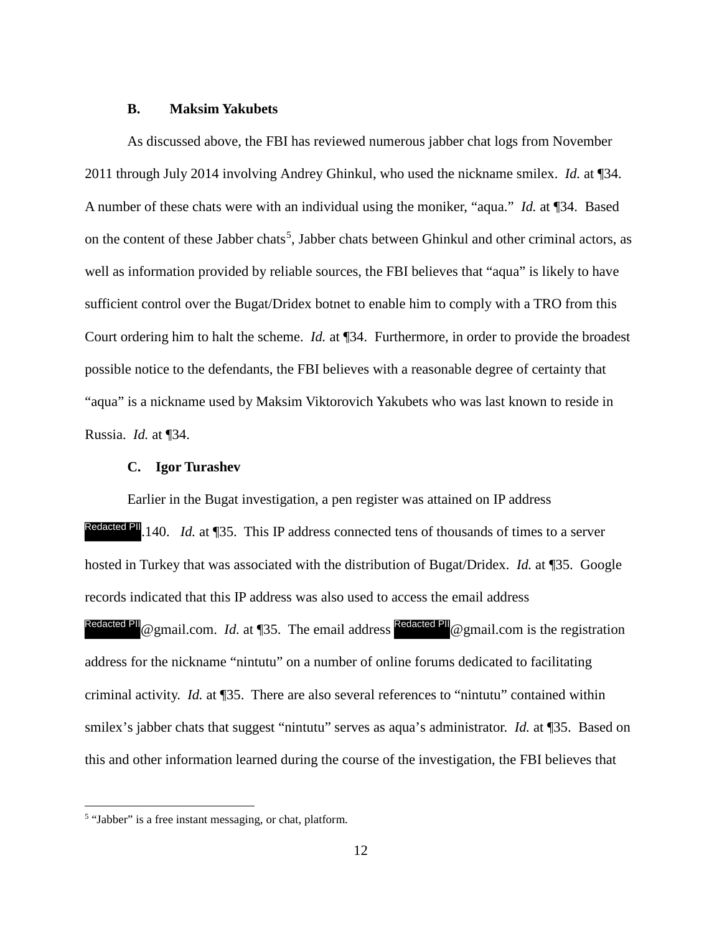### **B. Maksim Yakubets**

As discussed above, the FBI has reviewed numerous jabber chat logs from November 2011 through July 2014 involving Andrey Ghinkul, who used the nickname smilex. *Id.* at ¶34. A number of these chats were with an individual using the moniker, "aqua." *Id.* at ¶34. Based on the content of these Jabber chats<sup>[5](#page-11-0)</sup>, Jabber chats between Ghinkul and other criminal actors, as well as information provided by reliable sources, the FBI believes that "aqua" is likely to have sufficient control over the Bugat/Dridex botnet to enable him to comply with a TRO from this Court ordering him to halt the scheme. *Id.* at ¶34. Furthermore, in order to provide the broadest possible notice to the defendants, the FBI believes with a reasonable degree of certainty that "aqua" is a nickname used by Maksim Viktorovich Yakubets who was last known to reside in Russia. *Id.* at ¶34.

### **C. Igor Turashev**

Earlier in the Bugat investigation, a pen register was attained on IP address Redacted PII. 140. *Id.* at 135. This IP address connected tens of thousands of times to a server hosted in Turkey that was associated with the distribution of Bugat/Dridex. *Id.* at ¶35. Google records indicated that this IP address was also used to access the email address Redacted PII @ gmail.com. *Id.* at ¶35. The email address Redacted PII @ gmail.com is the registration address for the nickname "nintutu" on a number of online forums dedicated to facilitating criminal activity. *Id.* at ¶35. There are also several references to "nintutu" contained within smilex's jabber chats that suggest "nintutu" serves as aqua's administrator. *Id.* at ¶35. Based on this and other information learned during the course of the investigation, the FBI believes that

<span id="page-11-0"></span> 5 "Jabber" is a free instant messaging, or chat, platform.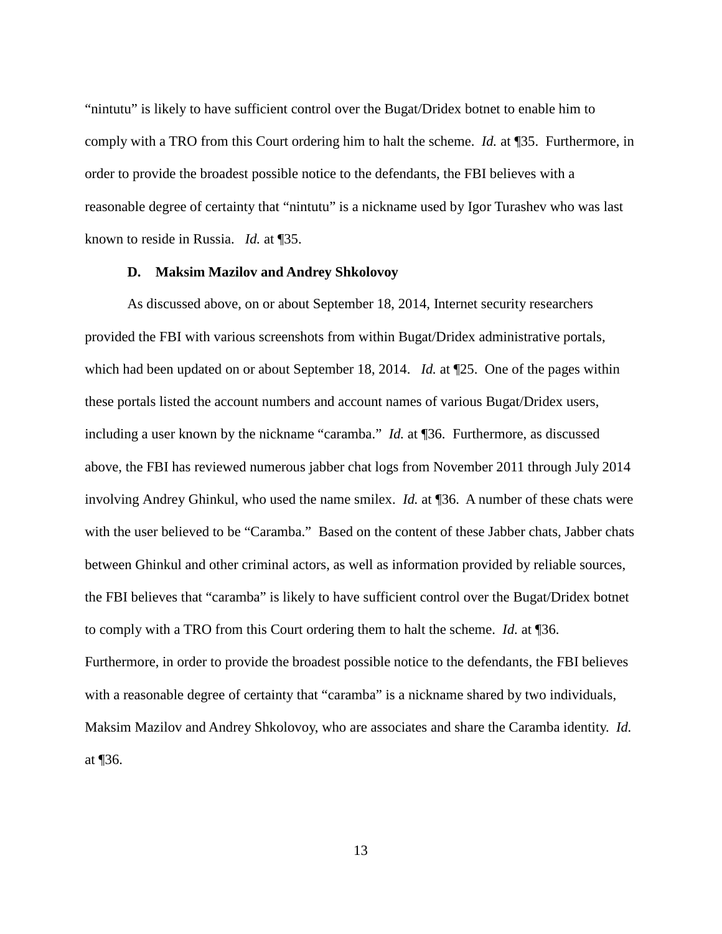"nintutu" is likely to have sufficient control over the Bugat/Dridex botnet to enable him to comply with a TRO from this Court ordering him to halt the scheme. *Id.* at ¶35. Furthermore, in order to provide the broadest possible notice to the defendants, the FBI believes with a reasonable degree of certainty that "nintutu" is a nickname used by Igor Turashev who was last known to reside in Russia. *Id.* at ¶35.

#### **D. Maksim Mazilov and Andrey Shkolovoy**

As discussed above, on or about September 18, 2014, Internet security researchers provided the FBI with various screenshots from within Bugat/Dridex administrative portals, which had been updated on or about September 18, 2014. *Id.* at  $\square$ 25. One of the pages within these portals listed the account numbers and account names of various Bugat/Dridex users, including a user known by the nickname "caramba." *Id.* at ¶36. Furthermore, as discussed above, the FBI has reviewed numerous jabber chat logs from November 2011 through July 2014 involving Andrey Ghinkul, who used the name smilex. *Id.* at ¶36. A number of these chats were with the user believed to be "Caramba." Based on the content of these Jabber chats, Jabber chats between Ghinkul and other criminal actors, as well as information provided by reliable sources, the FBI believes that "caramba" is likely to have sufficient control over the Bugat/Dridex botnet to comply with a TRO from this Court ordering them to halt the scheme. *Id.* at ¶36. Furthermore, in order to provide the broadest possible notice to the defendants, the FBI believes with a reasonable degree of certainty that "caramba" is a nickname shared by two individuals, Maksim Mazilov and Andrey Shkolovoy, who are associates and share the Caramba identity. *Id.* at ¶36.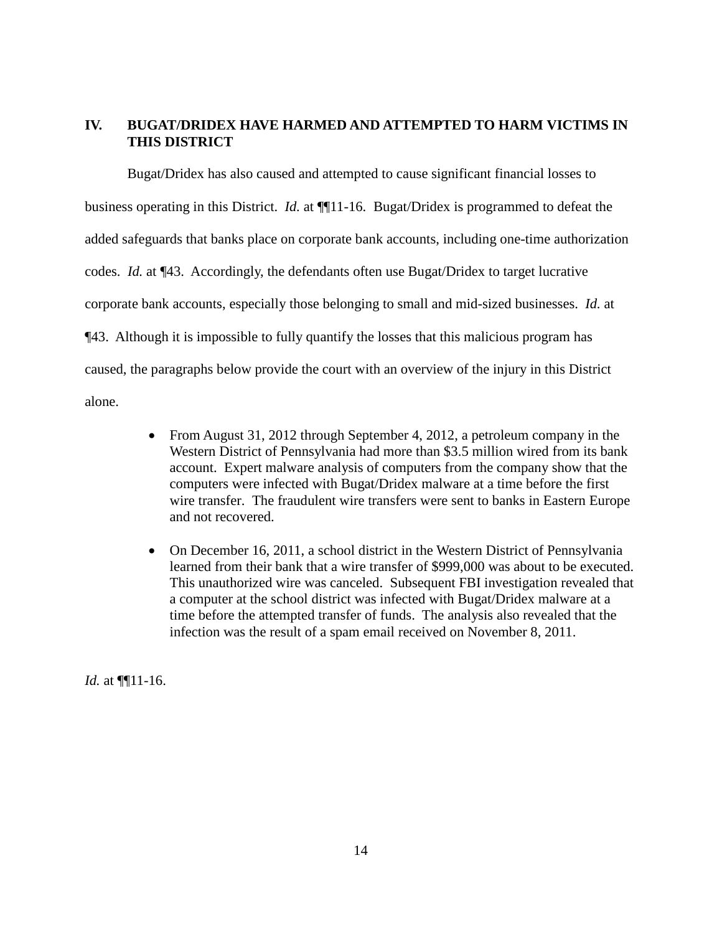# **IV. BUGAT/DRIDEX HAVE HARMED AND ATTEMPTED TO HARM VICTIMS IN THIS DISTRICT**

Bugat/Dridex has also caused and attempted to cause significant financial losses to business operating in this District. *Id.* at ¶¶11-16. Bugat/Dridex is programmed to defeat the added safeguards that banks place on corporate bank accounts, including one-time authorization codes. *Id.* at ¶43. Accordingly, the defendants often use Bugat/Dridex to target lucrative corporate bank accounts, especially those belonging to small and mid-sized businesses. *Id.* at ¶43. Although it is impossible to fully quantify the losses that this malicious program has caused, the paragraphs below provide the court with an overview of the injury in this District alone.

- From August 31, 2012 through September 4, 2012, a petroleum company in the Western District of Pennsylvania had more than \$3.5 million wired from its bank account. Expert malware analysis of computers from the company show that the computers were infected with Bugat/Dridex malware at a time before the first wire transfer. The fraudulent wire transfers were sent to banks in Eastern Europe and not recovered.
- On December 16, 2011, a school district in the Western District of Pennsylvania learned from their bank that a wire transfer of \$999,000 was about to be executed. This unauthorized wire was canceled. Subsequent FBI investigation revealed that a computer at the school district was infected with Bugat/Dridex malware at a time before the attempted transfer of funds. The analysis also revealed that the infection was the result of a spam email received on November 8, 2011.

*Id.* at ¶¶11-16.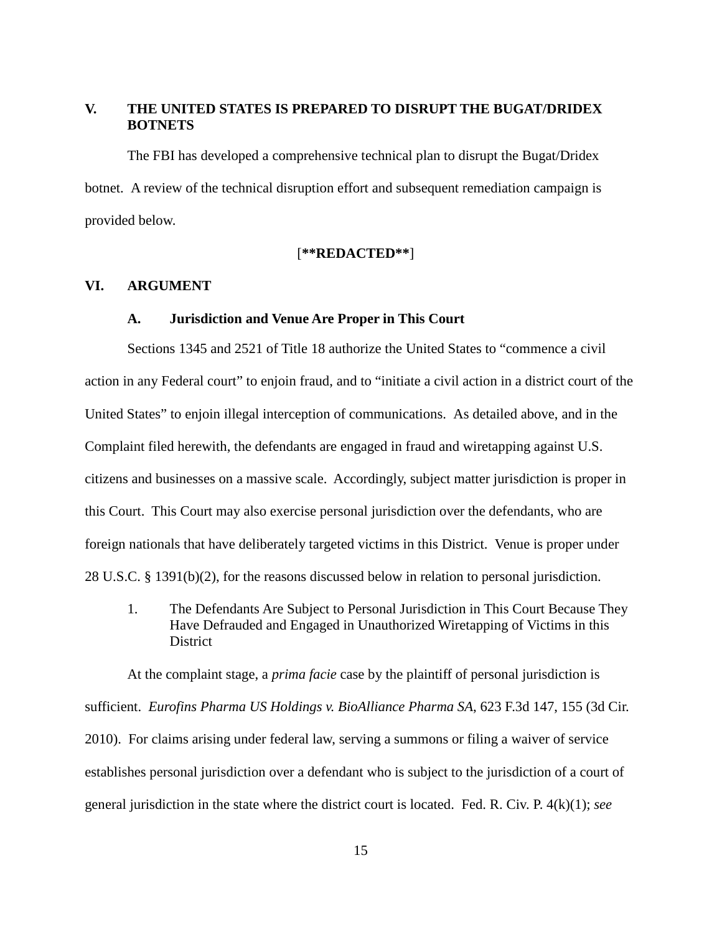# **V. THE UNITED STATES IS PREPARED TO DISRUPT THE BUGAT/DRIDEX BOTNETS**

The FBI has developed a comprehensive technical plan to disrupt the Bugat/Dridex botnet. A review of the technical disruption effort and subsequent remediation campaign is provided below.

## [**\*\*REDACTED\*\***]

## **VI. ARGUMENT**

#### **A. Jurisdiction and Venue Are Proper in This Court**

Sections 1345 and 2521 of Title 18 authorize the United States to "commence a civil action in any Federal court" to enjoin fraud, and to "initiate a civil action in a district court of the United States" to enjoin illegal interception of communications. As detailed above, and in the Complaint filed herewith, the defendants are engaged in fraud and wiretapping against U.S. citizens and businesses on a massive scale. Accordingly, subject matter jurisdiction is proper in this Court. This Court may also exercise personal jurisdiction over the defendants, who are foreign nationals that have deliberately targeted victims in this District. Venue is proper under 28 U.S.C. § 1391(b)(2), for the reasons discussed below in relation to personal jurisdiction.

1. The Defendants Are Subject to Personal Jurisdiction in This Court Because They Have Defrauded and Engaged in Unauthorized Wiretapping of Victims in this **District** 

At the complaint stage, a *prima facie* case by the plaintiff of personal jurisdiction is sufficient. *Eurofins Pharma US Holdings v. BioAlliance Pharma SA*, 623 F.3d 147, 155 (3d Cir. 2010). For claims arising under federal law, serving a summons or filing a waiver of service establishes personal jurisdiction over a defendant who is subject to the jurisdiction of a court of general jurisdiction in the state where the district court is located. Fed. R. Civ. P. 4(k)(1); *see*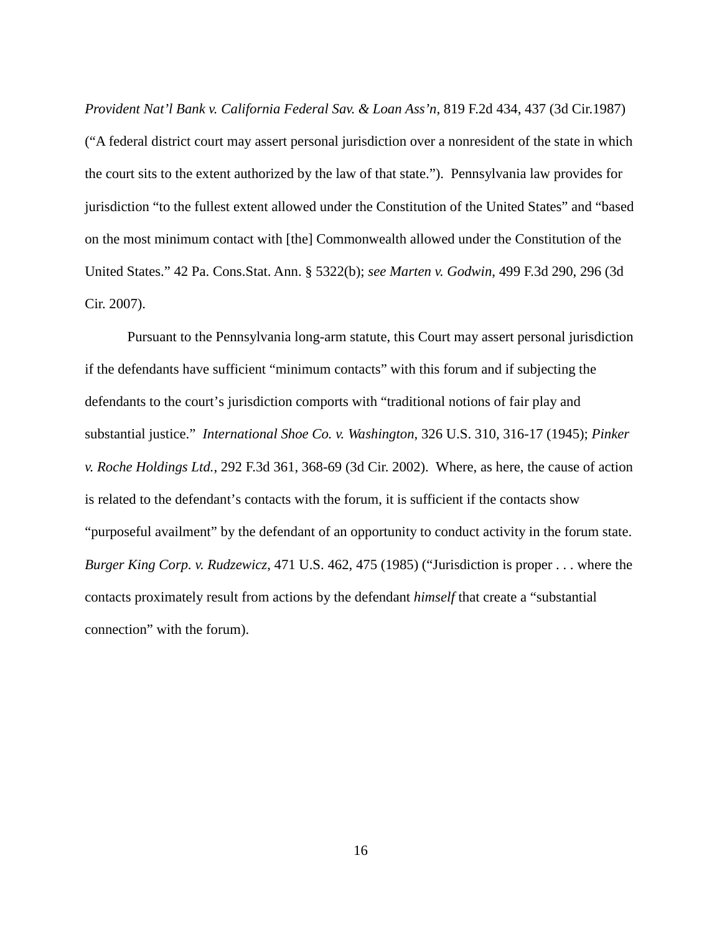*Provident Nat'l Bank v. California Federal Sav. & Loan Ass'n*, 819 F.2d 434, 437 (3d Cir.1987) ("A federal district court may assert personal jurisdiction over a nonresident of the state in which the court sits to the extent authorized by the law of that state."). Pennsylvania law provides for jurisdiction "to the fullest extent allowed under the Constitution of the United States" and "based on the most minimum contact with [the] Commonwealth allowed under the Constitution of the United States." 42 Pa. Cons.Stat. Ann. § 5322(b); *see Marten v. Godwin*, 499 F.3d 290, 296 (3d Cir. 2007).

Pursuant to the Pennsylvania long-arm statute, this Court may assert personal jurisdiction if the defendants have sufficient "minimum contacts" with this forum and if subjecting the defendants to the court's jurisdiction comports with "traditional notions of fair play and substantial justice." *International Shoe Co. v. Washington*, 326 U.S. 310, 316-17 (1945); *Pinker v. Roche Holdings Ltd.*, 292 F.3d 361, 368-69 (3d Cir. 2002). Where, as here, the cause of action is related to the defendant's contacts with the forum, it is sufficient if the contacts show "purposeful availment" by the defendant of an opportunity to conduct activity in the forum state. *Burger King Corp. v. Rudzewicz*, 471 U.S. 462, 475 (1985) ("Jurisdiction is proper . . . where the contacts proximately result from actions by the defendant *himself* that create a "substantial connection" with the forum).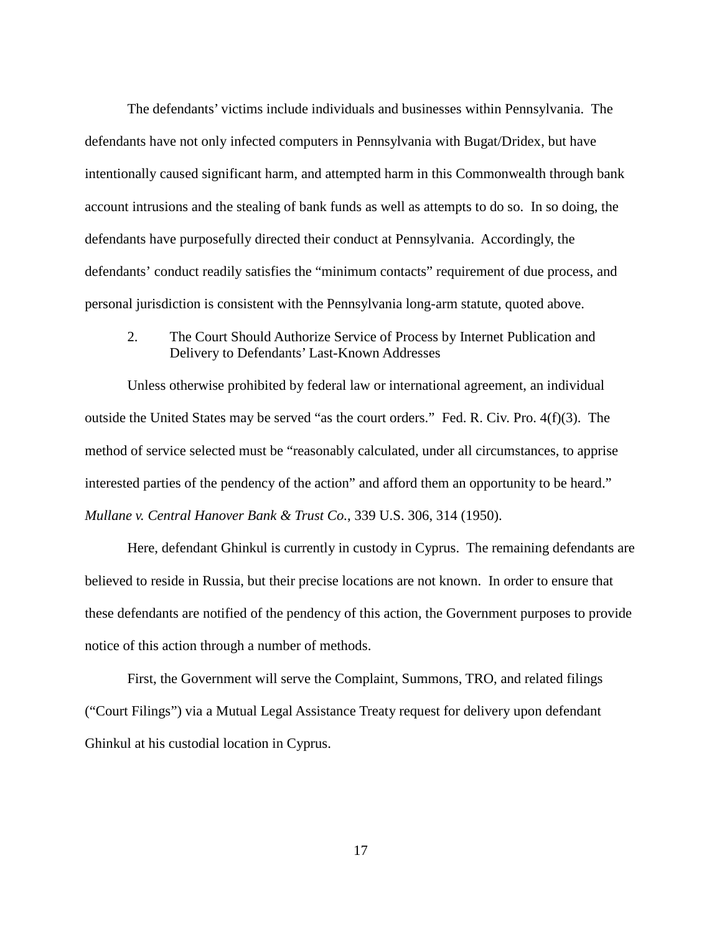The defendants' victims include individuals and businesses within Pennsylvania. The defendants have not only infected computers in Pennsylvania with Bugat/Dridex, but have intentionally caused significant harm, and attempted harm in this Commonwealth through bank account intrusions and the stealing of bank funds as well as attempts to do so. In so doing, the defendants have purposefully directed their conduct at Pennsylvania. Accordingly, the defendants' conduct readily satisfies the "minimum contacts" requirement of due process, and personal jurisdiction is consistent with the Pennsylvania long-arm statute, quoted above.

2. The Court Should Authorize Service of Process by Internet Publication and Delivery to Defendants' Last-Known Addresses

Unless otherwise prohibited by federal law or international agreement, an individual outside the United States may be served "as the court orders." Fed. R. Civ. Pro. 4(f)(3). The method of service selected must be "reasonably calculated, under all circumstances, to apprise interested parties of the pendency of the action" and afford them an opportunity to be heard." *Mullane v. Central Hanover Bank & Trust Co.*, 339 U.S. 306, 314 (1950).

Here, defendant Ghinkul is currently in custody in Cyprus. The remaining defendants are believed to reside in Russia, but their precise locations are not known. In order to ensure that these defendants are notified of the pendency of this action, the Government purposes to provide notice of this action through a number of methods.

First, the Government will serve the Complaint, Summons, TRO, and related filings ("Court Filings") via a Mutual Legal Assistance Treaty request for delivery upon defendant Ghinkul at his custodial location in Cyprus.

17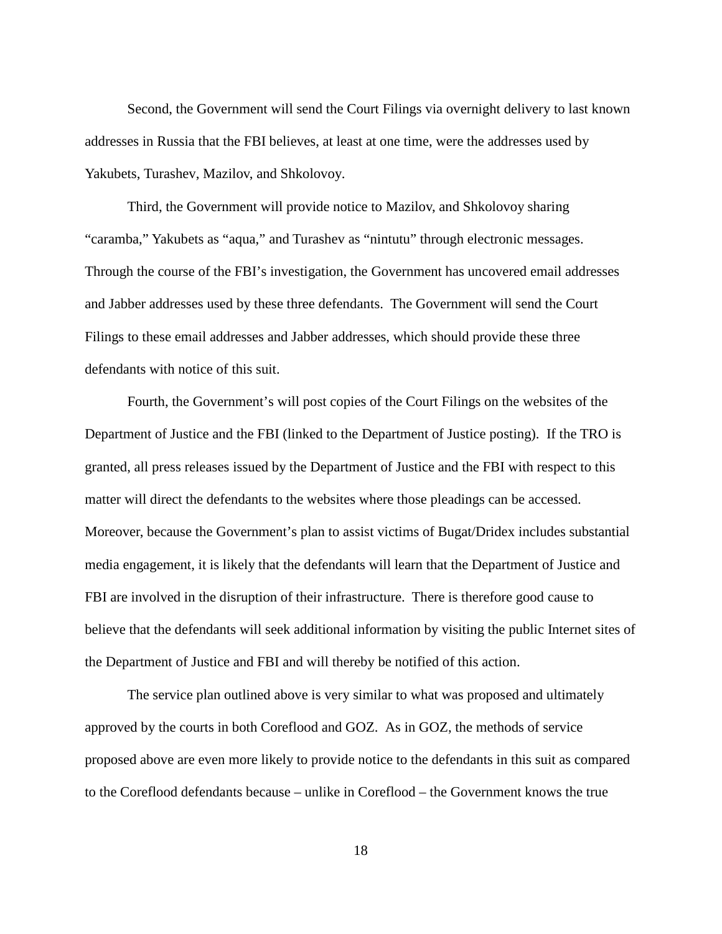Second, the Government will send the Court Filings via overnight delivery to last known addresses in Russia that the FBI believes, at least at one time, were the addresses used by Yakubets, Turashev, Mazilov, and Shkolovoy.

Third, the Government will provide notice to Mazilov, and Shkolovoy sharing "caramba," Yakubets as "aqua," and Turashev as "nintutu" through electronic messages. Through the course of the FBI's investigation, the Government has uncovered email addresses and Jabber addresses used by these three defendants. The Government will send the Court Filings to these email addresses and Jabber addresses, which should provide these three defendants with notice of this suit.

Fourth, the Government's will post copies of the Court Filings on the websites of the Department of Justice and the FBI (linked to the Department of Justice posting). If the TRO is granted, all press releases issued by the Department of Justice and the FBI with respect to this matter will direct the defendants to the websites where those pleadings can be accessed. Moreover, because the Government's plan to assist victims of Bugat/Dridex includes substantial media engagement, it is likely that the defendants will learn that the Department of Justice and FBI are involved in the disruption of their infrastructure. There is therefore good cause to believe that the defendants will seek additional information by visiting the public Internet sites of the Department of Justice and FBI and will thereby be notified of this action.

The service plan outlined above is very similar to what was proposed and ultimately approved by the courts in both Coreflood and GOZ. As in GOZ, the methods of service proposed above are even more likely to provide notice to the defendants in this suit as compared to the Coreflood defendants because – unlike in Coreflood – the Government knows the true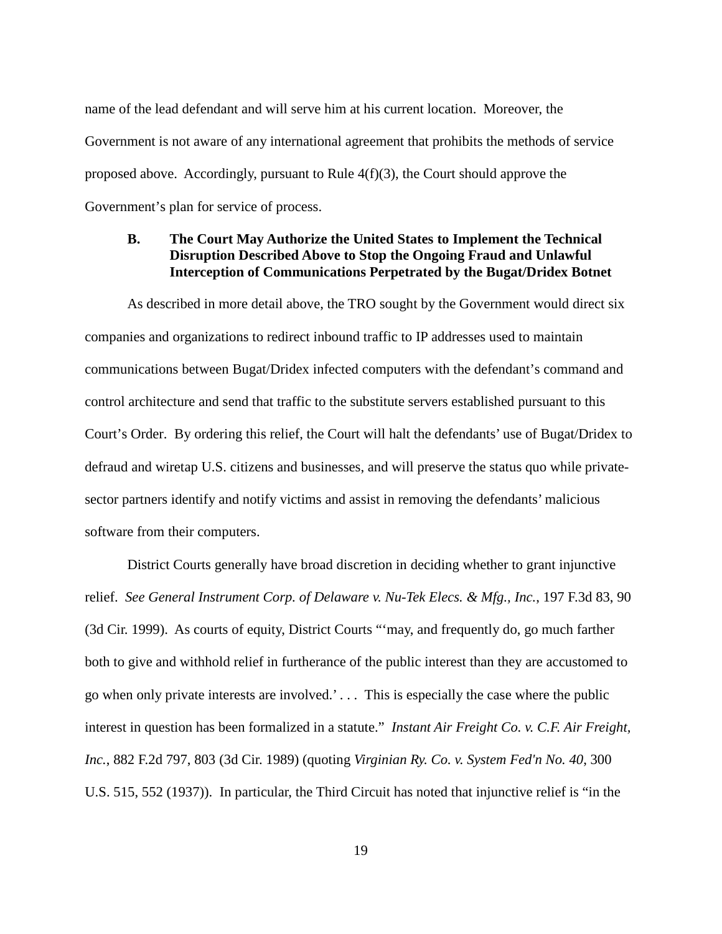name of the lead defendant and will serve him at his current location. Moreover, the Government is not aware of any international agreement that prohibits the methods of service proposed above. Accordingly, pursuant to Rule 4(f)(3), the Court should approve the Government's plan for service of process.

# **B. The Court May Authorize the United States to Implement the Technical Disruption Described Above to Stop the Ongoing Fraud and Unlawful Interception of Communications Perpetrated by the Bugat/Dridex Botnet**

As described in more detail above, the TRO sought by the Government would direct six companies and organizations to redirect inbound traffic to IP addresses used to maintain communications between Bugat/Dridex infected computers with the defendant's command and control architecture and send that traffic to the substitute servers established pursuant to this Court's Order. By ordering this relief, the Court will halt the defendants' use of Bugat/Dridex to defraud and wiretap U.S. citizens and businesses, and will preserve the status quo while privatesector partners identify and notify victims and assist in removing the defendants' malicious software from their computers.

District Courts generally have broad discretion in deciding whether to grant injunctive relief. *See General Instrument Corp. of Delaware v. Nu-Tek Elecs. & Mfg., Inc.*, 197 F.3d 83, 90 (3d Cir. 1999). As courts of equity, District Courts "'may, and frequently do, go much farther both to give and withhold relief in furtherance of the public interest than they are accustomed to go when only private interests are involved.' . . . This is especially the case where the public interest in question has been formalized in a statute." *Instant Air Freight Co. v. C.F. Air Freight, Inc.*, 882 F.2d 797, 803 (3d Cir. 1989) (quoting *Virginian Ry. Co. v. System Fed'n No. 40*, 300 U.S. 515, 552 (1937)). In particular, the Third Circuit has noted that injunctive relief is "in the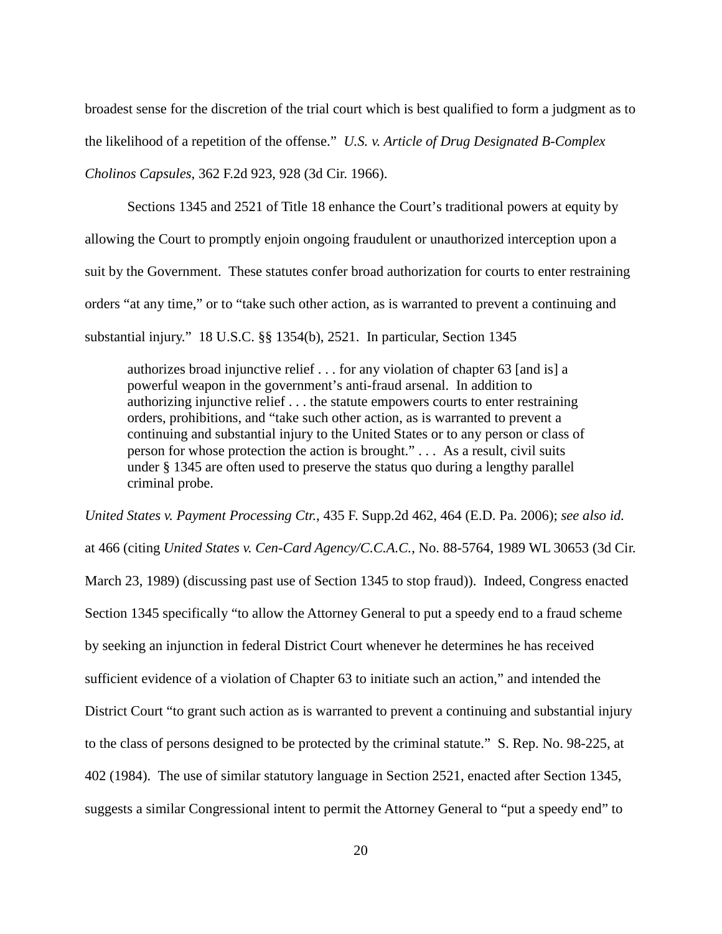broadest sense for the discretion of the trial court which is best qualified to form a judgment as to the likelihood of a repetition of the offense." *U.S. v. Article of Drug Designated B-Complex Cholinos Capsules*, 362 F.2d 923, 928 (3d Cir. 1966).

Sections 1345 and 2521 of Title 18 enhance the Court's traditional powers at equity by allowing the Court to promptly enjoin ongoing fraudulent or unauthorized interception upon a suit by the Government. These statutes confer broad authorization for courts to enter restraining orders "at any time," or to "take such other action, as is warranted to prevent a continuing and substantial injury." 18 U.S.C. §§ 1354(b), 2521. In particular, Section 1345

authorizes broad injunctive relief . . . for any violation of chapter 63 [and is] a powerful weapon in the government's anti-fraud arsenal. In addition to authorizing injunctive relief . . . the statute empowers courts to enter restraining orders, prohibitions, and "take such other action, as is warranted to prevent a continuing and substantial injury to the United States or to any person or class of person for whose protection the action is brought." . . . As a result, civil suits under § 1345 are often used to preserve the status quo during a lengthy parallel criminal probe.

*United States v. Payment Processing Ctr.*, 435 F. Supp.2d 462, 464 (E.D. Pa. 2006); *see also id.* at 466 (citing *United States v. Cen-Card Agency/C.C.A.C.*, No. 88-5764, 1989 WL 30653 (3d Cir. March 23, 1989) (discussing past use of Section 1345 to stop fraud)). Indeed, Congress enacted Section 1345 specifically "to allow the Attorney General to put a speedy end to a fraud scheme by seeking an injunction in federal District Court whenever he determines he has received sufficient evidence of a violation of Chapter 63 to initiate such an action," and intended the District Court "to grant such action as is warranted to prevent a continuing and substantial injury to the class of persons designed to be protected by the criminal statute." S. Rep. No. 98-225, at 402 (1984). The use of similar statutory language in Section 2521, enacted after Section 1345, suggests a similar Congressional intent to permit the Attorney General to "put a speedy end" to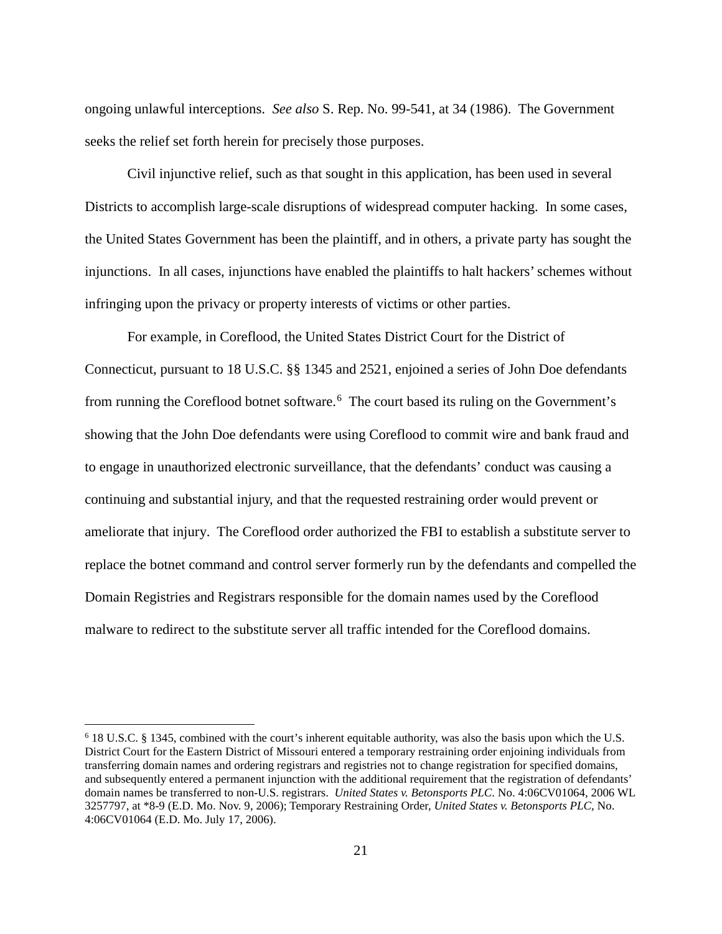ongoing unlawful interceptions. *See also* S. Rep. No. 99-541, at 34 (1986). The Government seeks the relief set forth herein for precisely those purposes.

Civil injunctive relief, such as that sought in this application, has been used in several Districts to accomplish large-scale disruptions of widespread computer hacking. In some cases, the United States Government has been the plaintiff, and in others, a private party has sought the injunctions. In all cases, injunctions have enabled the plaintiffs to halt hackers' schemes without infringing upon the privacy or property interests of victims or other parties.

For example, in Coreflood, the United States District Court for the District of Connecticut, pursuant to 18 U.S.C. §§ 1345 and 2521, enjoined a series of John Doe defendants from running the Coreflood botnet software.<sup>[6](#page-20-0)</sup> The court based its ruling on the Government's showing that the John Doe defendants were using Coreflood to commit wire and bank fraud and to engage in unauthorized electronic surveillance, that the defendants' conduct was causing a continuing and substantial injury, and that the requested restraining order would prevent or ameliorate that injury. The Coreflood order authorized the FBI to establish a substitute server to replace the botnet command and control server formerly run by the defendants and compelled the Domain Registries and Registrars responsible for the domain names used by the Coreflood malware to redirect to the substitute server all traffic intended for the Coreflood domains.

<span id="page-20-0"></span> <sup>6</sup> 18 U.S.C. § 1345, combined with the court's inherent equitable authority, was also the basis upon which the U.S. District Court for the Eastern District of Missouri entered a temporary restraining order enjoining individuals from transferring domain names and ordering registrars and registries not to change registration for specified domains, and subsequently entered a permanent injunction with the additional requirement that the registration of defendants' domain names be transferred to non-U.S. registrars. *United States v. Betonsports PLC*. No. 4:06CV01064, 2006 WL 3257797, at \*8-9 (E.D. Mo. Nov. 9, 2006); Temporary Restraining Order, *United States v. Betonsports PLC*, No. 4:06CV01064 (E.D. Mo. July 17, 2006).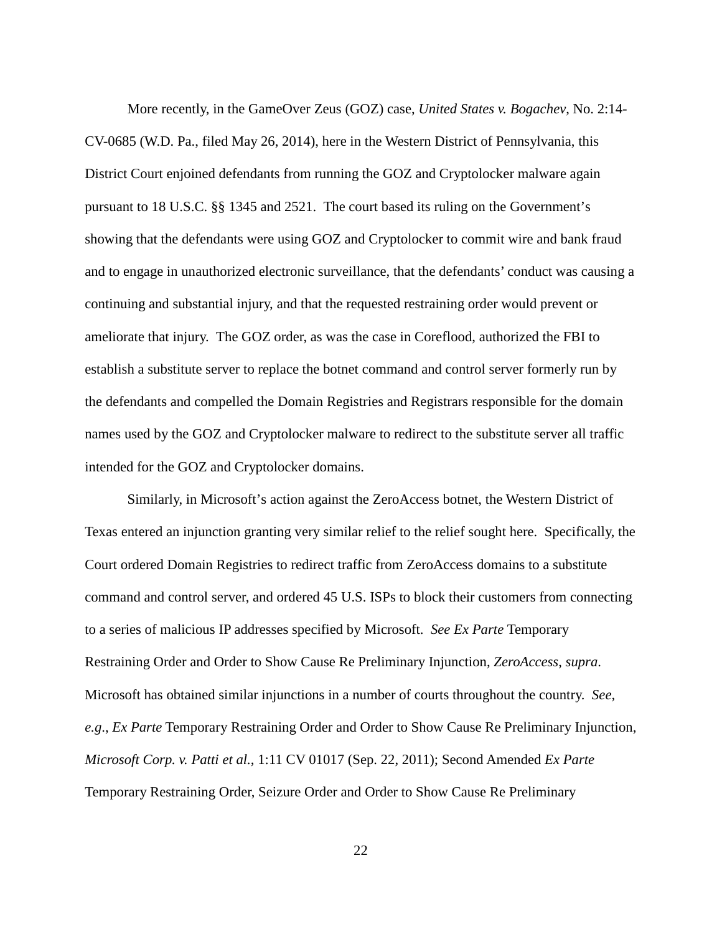More recently, in the GameOver Zeus (GOZ) case, *United States v. Bogachev*, No. 2:14- CV-0685 (W.D. Pa., filed May 26, 2014), here in the Western District of Pennsylvania, this District Court enjoined defendants from running the GOZ and Cryptolocker malware again pursuant to 18 U.S.C. §§ 1345 and 2521. The court based its ruling on the Government's showing that the defendants were using GOZ and Cryptolocker to commit wire and bank fraud and to engage in unauthorized electronic surveillance, that the defendants' conduct was causing a continuing and substantial injury, and that the requested restraining order would prevent or ameliorate that injury. The GOZ order, as was the case in Coreflood, authorized the FBI to establish a substitute server to replace the botnet command and control server formerly run by the defendants and compelled the Domain Registries and Registrars responsible for the domain names used by the GOZ and Cryptolocker malware to redirect to the substitute server all traffic intended for the GOZ and Cryptolocker domains.

Similarly, in Microsoft's action against the ZeroAccess botnet, the Western District of Texas entered an injunction granting very similar relief to the relief sought here. Specifically, the Court ordered Domain Registries to redirect traffic from ZeroAccess domains to a substitute command and control server, and ordered 45 U.S. ISPs to block their customers from connecting to a series of malicious IP addresses specified by Microsoft. *See Ex Parte* Temporary Restraining Order and Order to Show Cause Re Preliminary Injunction, *ZeroAccess*, *supra*. Microsoft has obtained similar injunctions in a number of courts throughout the country. *See, e.g*., *Ex Parte* Temporary Restraining Order and Order to Show Cause Re Preliminary Injunction, *Microsoft Corp. v. Patti et al.*, 1:11 CV 01017 (Sep. 22, 2011); Second Amended *Ex Parte* Temporary Restraining Order, Seizure Order and Order to Show Cause Re Preliminary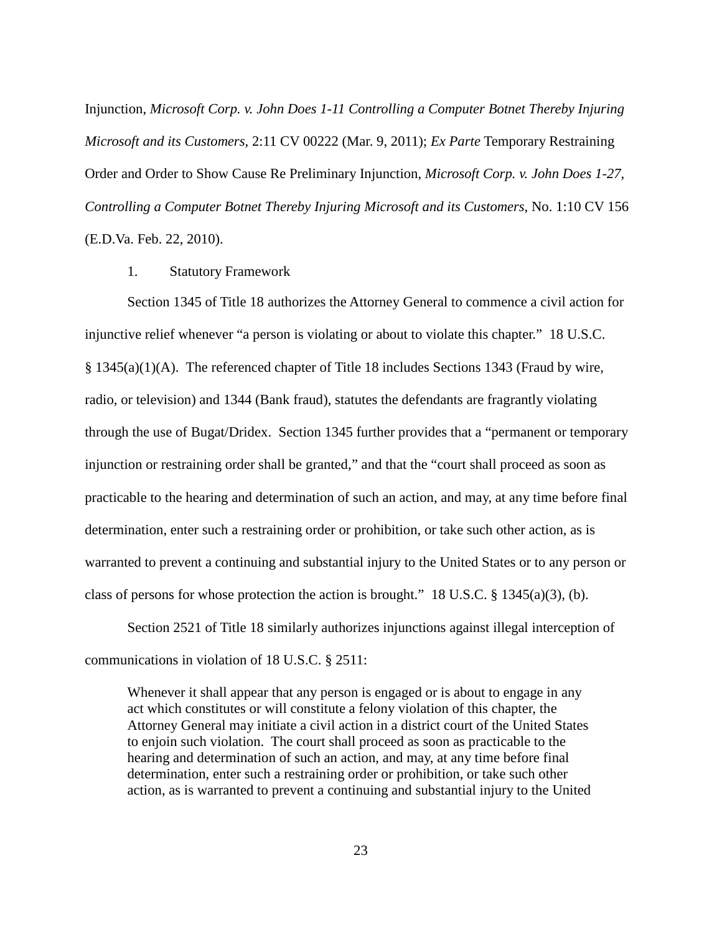Injunction, *Microsoft Corp. v. John Does 1-11 Controlling a Computer Botnet Thereby Injuring Microsoft and its Customers*, 2:11 CV 00222 (Mar. 9, 2011); *Ex Parte* Temporary Restraining Order and Order to Show Cause Re Preliminary Injunction, *Microsoft Corp. v. John Does 1-27, Controlling a Computer Botnet Thereby Injuring Microsoft and its Customers*, No. 1:10 CV 156 (E.D.Va. Feb. 22, 2010).

1. Statutory Framework

Section 1345 of Title 18 authorizes the Attorney General to commence a civil action for injunctive relief whenever "a person is violating or about to violate this chapter." 18 U.S.C. § 1345(a)(1)(A). The referenced chapter of Title 18 includes Sections 1343 (Fraud by wire, radio, or television) and 1344 (Bank fraud), statutes the defendants are fragrantly violating through the use of Bugat/Dridex. Section 1345 further provides that a "permanent or temporary injunction or restraining order shall be granted," and that the "court shall proceed as soon as practicable to the hearing and determination of such an action, and may, at any time before final determination, enter such a restraining order or prohibition, or take such other action, as is warranted to prevent a continuing and substantial injury to the United States or to any person or class of persons for whose protection the action is brought." 18 U.S.C.  $\S$  1345(a)(3), (b).

Section 2521 of Title 18 similarly authorizes injunctions against illegal interception of communications in violation of 18 U.S.C. § 2511:

Whenever it shall appear that any person is engaged or is about to engage in any act which constitutes or will constitute a felony violation of this chapter, the Attorney General may initiate a civil action in a district court of the United States to enjoin such violation. The court shall proceed as soon as practicable to the hearing and determination of such an action, and may, at any time before final determination, enter such a restraining order or prohibition, or take such other action, as is warranted to prevent a continuing and substantial injury to the United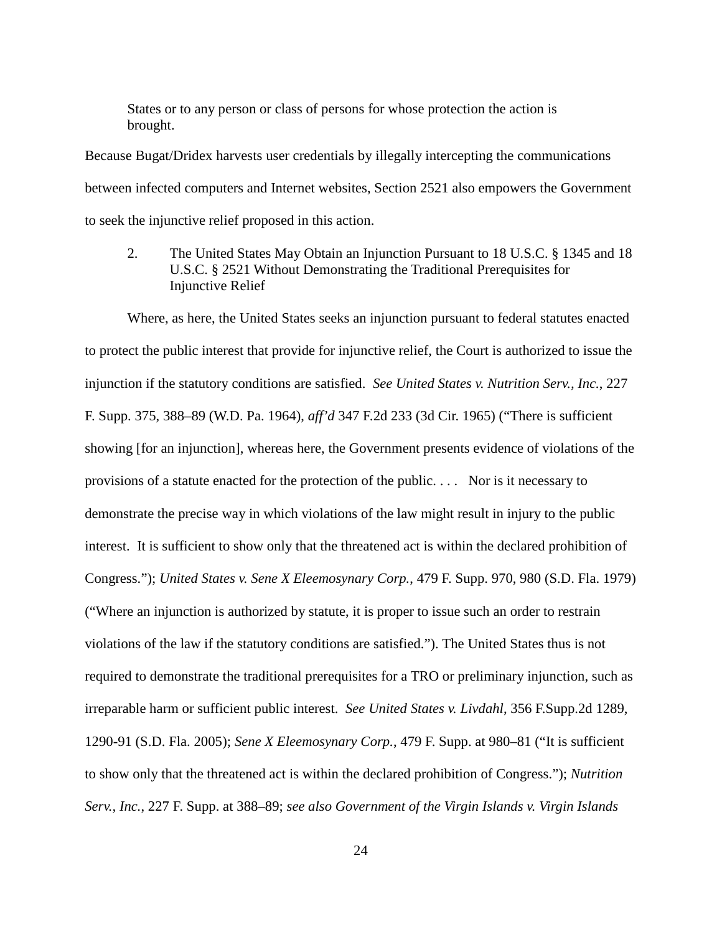States or to any person or class of persons for whose protection the action is brought.

Because Bugat/Dridex harvests user credentials by illegally intercepting the communications between infected computers and Internet websites, Section 2521 also empowers the Government to seek the injunctive relief proposed in this action.

2. The United States May Obtain an Injunction Pursuant to 18 U.S.C. § 1345 and 18 U.S.C. § 2521 Without Demonstrating the Traditional Prerequisites for Injunctive Relief

Where, as here, the United States seeks an injunction pursuant to federal statutes enacted to protect the public interest that provide for injunctive relief, the Court is authorized to issue the injunction if the statutory conditions are satisfied. *See United States v. Nutrition Serv., Inc.*, 227 F. Supp. 375, 388–89 (W.D. Pa. 1964), *aff'd* 347 F.2d 233 (3d Cir. 1965) ("There is sufficient showing [for an injunction], whereas here, the Government presents evidence of violations of the provisions of a statute enacted for the protection of the public. . . . Nor is it necessary to demonstrate the precise way in which violations of the law might result in injury to the public interest. It is sufficient to show only that the threatened act is within the declared prohibition of Congress."); *United States v. Sene X Eleemosynary Corp.*, 479 F. Supp. 970, 980 (S.D. Fla. 1979) ("Where an injunction is authorized by statute, it is proper to issue such an order to restrain violations of the law if the statutory conditions are satisfied."). The United States thus is not required to demonstrate the traditional prerequisites for a TRO or preliminary injunction, such as irreparable harm or sufficient public interest. *See United States v. Livdahl*, 356 F.Supp.2d 1289, 1290-91 (S.D. Fla. 2005); *Sene X Eleemosynary Corp.*, 479 F. Supp. at 980–81 ("It is sufficient to show only that the threatened act is within the declared prohibition of Congress."); *Nutrition Serv., Inc.*, 227 F. Supp. at 388–89; *see also Government of the Virgin Islands v. Virgin Islands*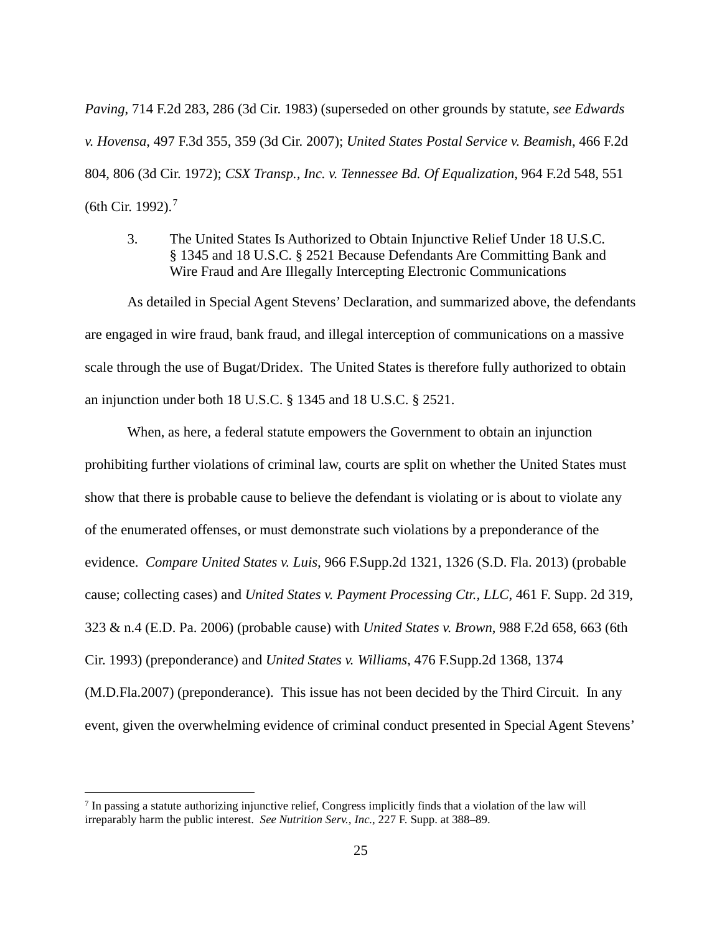*Paving*, 714 F.2d 283, 286 (3d Cir. 1983) (superseded on other grounds by statute, *see Edwards v. Hovensa*, 497 F.3d 355, 359 (3d Cir. 2007); *United States Postal Service v. Beamish*, 466 F.2d 804, 806 (3d Cir. 1972); *CSX Transp., Inc. v. Tennessee Bd. Of Equalization*, 964 F.2d 548, 551 (6th Cir. 1992). [7](#page-24-0)

3. The United States Is Authorized to Obtain Injunctive Relief Under 18 U.S.C. § 1345 and 18 U.S.C. § 2521 Because Defendants Are Committing Bank and Wire Fraud and Are Illegally Intercepting Electronic Communications

As detailed in Special Agent Stevens' Declaration, and summarized above, the defendants are engaged in wire fraud, bank fraud, and illegal interception of communications on a massive scale through the use of Bugat/Dridex. The United States is therefore fully authorized to obtain an injunction under both 18 U.S.C. § 1345 and 18 U.S.C. § 2521.

When, as here, a federal statute empowers the Government to obtain an injunction prohibiting further violations of criminal law, courts are split on whether the United States must show that there is probable cause to believe the defendant is violating or is about to violate any of the enumerated offenses, or must demonstrate such violations by a preponderance of the evidence. *Compare United States v. Luis,* 966 F.Supp.2d 1321, 1326 (S.D. Fla. 2013) (probable cause; collecting cases) and *United States v. Payment Processing Ctr., LLC*, 461 F. Supp. 2d 319, 323 & n.4 (E.D. Pa. 2006) (probable cause) with *United States v. Brown*, 988 F.2d 658, 663 (6th Cir. 1993) (preponderance) and *United States v. Williams*, 476 F.Supp.2d 1368, 1374 (M.D.Fla.2007) (preponderance). This issue has not been decided by the Third Circuit. In any event, given the overwhelming evidence of criminal conduct presented in Special Agent Stevens'

<span id="page-24-0"></span> <sup>7</sup> In passing a statute authorizing injunctive relief, Congress implicitly finds that a violation of the law will irreparably harm the public interest. *See Nutrition Serv., Inc.*, 227 F. Supp. at 388–89.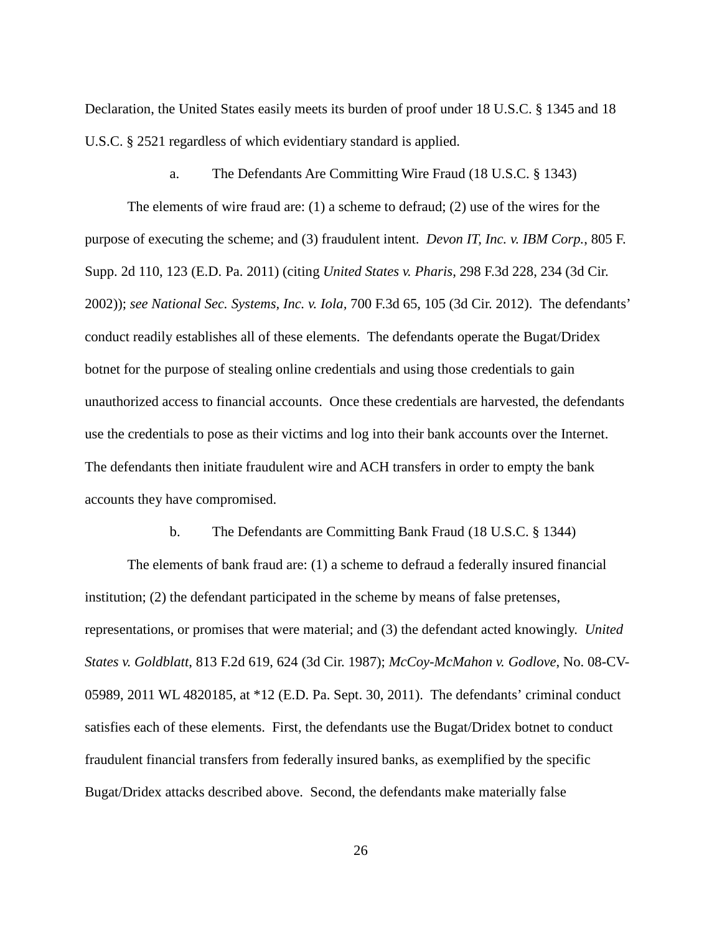Declaration, the United States easily meets its burden of proof under 18 U.S.C. § 1345 and 18 U.S.C. § 2521 regardless of which evidentiary standard is applied.

### a. The Defendants Are Committing Wire Fraud (18 U.S.C. § 1343)

The elements of wire fraud are: (1) a scheme to defraud; (2) use of the wires for the purpose of executing the scheme; and (3) fraudulent intent. *Devon IT, Inc. v. IBM Corp.*, 805 F. Supp. 2d 110, 123 (E.D. Pa. 2011) (citing *United States v. Pharis*, 298 F.3d 228, 234 (3d Cir. 2002)); *see National Sec. Systems, Inc. v. Iola,* 700 F.3d 65, 105 (3d Cir. 2012). The defendants' conduct readily establishes all of these elements. The defendants operate the Bugat/Dridex botnet for the purpose of stealing online credentials and using those credentials to gain unauthorized access to financial accounts. Once these credentials are harvested, the defendants use the credentials to pose as their victims and log into their bank accounts over the Internet. The defendants then initiate fraudulent wire and ACH transfers in order to empty the bank accounts they have compromised.

### b. The Defendants are Committing Bank Fraud (18 U.S.C. § 1344)

The elements of bank fraud are: (1) a scheme to defraud a federally insured financial institution; (2) the defendant participated in the scheme by means of false pretenses, representations, or promises that were material; and (3) the defendant acted knowingly. *United States v. Goldblatt*, 813 F.2d 619, 624 (3d Cir. 1987); *McCoy-McMahon v. Godlove*, No. 08-CV-05989, 2011 WL 4820185, at \*12 (E.D. Pa. Sept. 30, 2011). The defendants' criminal conduct satisfies each of these elements. First, the defendants use the Bugat/Dridex botnet to conduct fraudulent financial transfers from federally insured banks, as exemplified by the specific Bugat/Dridex attacks described above. Second, the defendants make materially false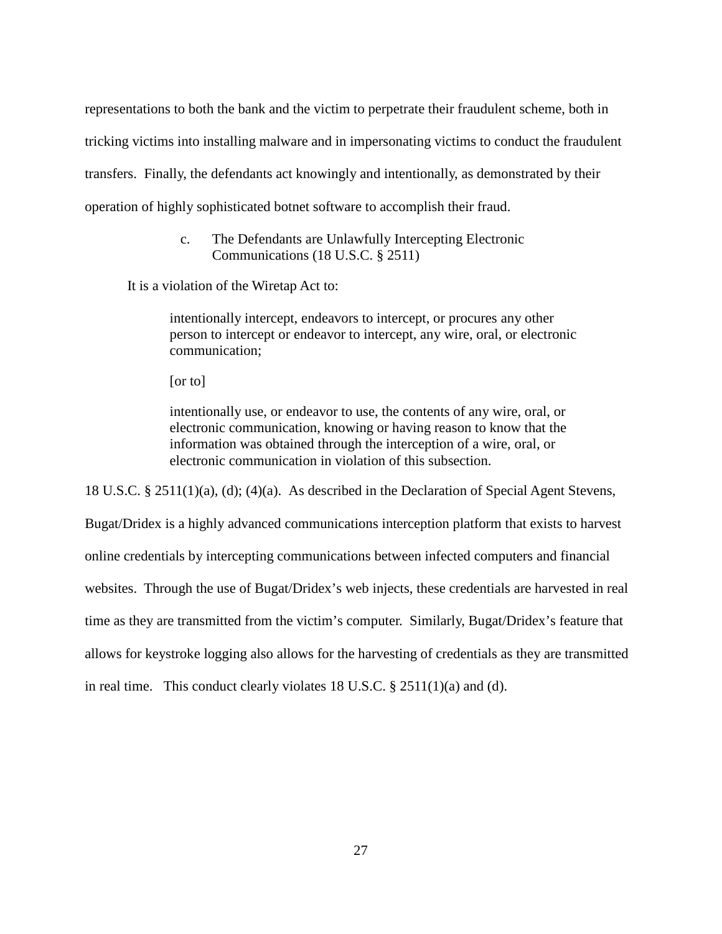representations to both the bank and the victim to perpetrate their fraudulent scheme, both in tricking victims into installing malware and in impersonating victims to conduct the fraudulent transfers. Finally, the defendants act knowingly and intentionally, as demonstrated by their operation of highly sophisticated botnet software to accomplish their fraud.

## c. The Defendants are Unlawfully Intercepting Electronic Communications (18 U.S.C. § 2511)

It is a violation of the Wiretap Act to:

intentionally intercept, endeavors to intercept, or procures any other person to intercept or endeavor to intercept, any wire, oral, or electronic communication;

[or to]

intentionally use, or endeavor to use, the contents of any wire, oral, or electronic communication, knowing or having reason to know that the information was obtained through the interception of a wire, oral, or electronic communication in violation of this subsection.

18 U.S.C. § 2511(1)(a), (d); (4)(a). As described in the Declaration of Special Agent Stevens,

Bugat/Dridex is a highly advanced communications interception platform that exists to harvest online credentials by intercepting communications between infected computers and financial websites. Through the use of Bugat/Dridex's web injects, these credentials are harvested in real time as they are transmitted from the victim's computer. Similarly, Bugat/Dridex's feature that allows for keystroke logging also allows for the harvesting of credentials as they are transmitted in real time. This conduct clearly violates 18 U.S.C. § 2511(1)(a) and (d).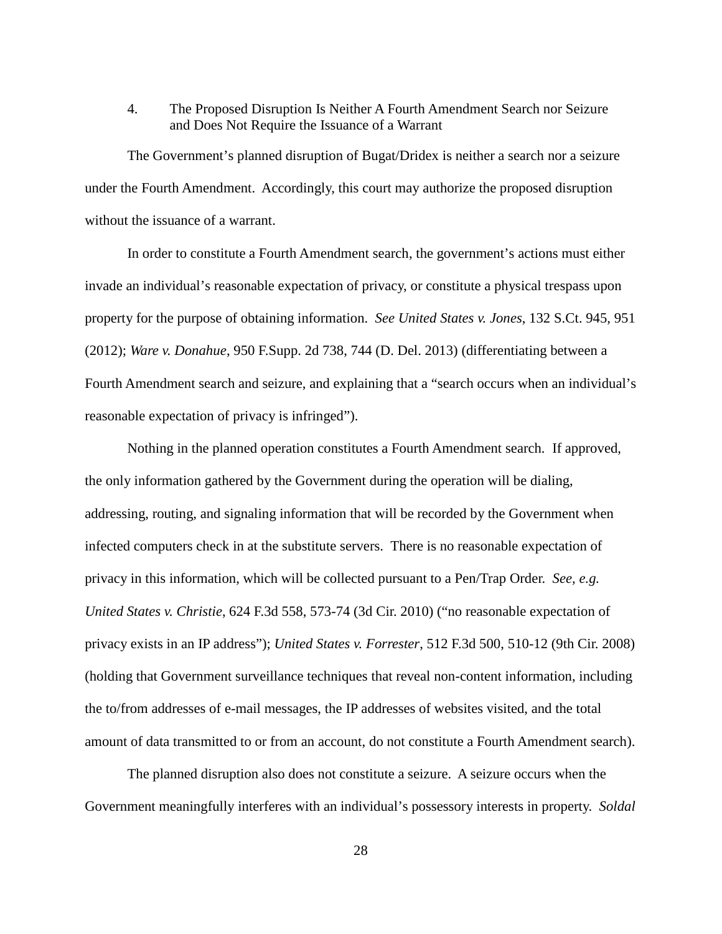# 4. The Proposed Disruption Is Neither A Fourth Amendment Search nor Seizure and Does Not Require the Issuance of a Warrant

The Government's planned disruption of Bugat/Dridex is neither a search nor a seizure under the Fourth Amendment. Accordingly, this court may authorize the proposed disruption without the issuance of a warrant.

In order to constitute a Fourth Amendment search, the government's actions must either invade an individual's reasonable expectation of privacy, or constitute a physical trespass upon property for the purpose of obtaining information. *See United States v. Jones*, 132 S.Ct. 945, 951 (2012); *Ware v. Donahue*, 950 F.Supp. 2d 738, 744 (D. Del. 2013) (differentiating between a Fourth Amendment search and seizure, and explaining that a "search occurs when an individual's reasonable expectation of privacy is infringed").

Nothing in the planned operation constitutes a Fourth Amendment search. If approved, the only information gathered by the Government during the operation will be dialing, addressing, routing, and signaling information that will be recorded by the Government when infected computers check in at the substitute servers. There is no reasonable expectation of privacy in this information, which will be collected pursuant to a Pen/Trap Order. *See, e.g. United States v. Christie*, 624 F.3d 558, 573-74 (3d Cir. 2010) ("no reasonable expectation of privacy exists in an IP address"); *United States v. Forrester*, 512 F.3d 500, 510-12 (9th Cir. 2008) (holding that Government surveillance techniques that reveal non-content information, including the to/from addresses of e-mail messages, the IP addresses of websites visited, and the total amount of data transmitted to or from an account, do not constitute a Fourth Amendment search).

The planned disruption also does not constitute a seizure. A seizure occurs when the Government meaningfully interferes with an individual's possessory interests in property. *Soldal*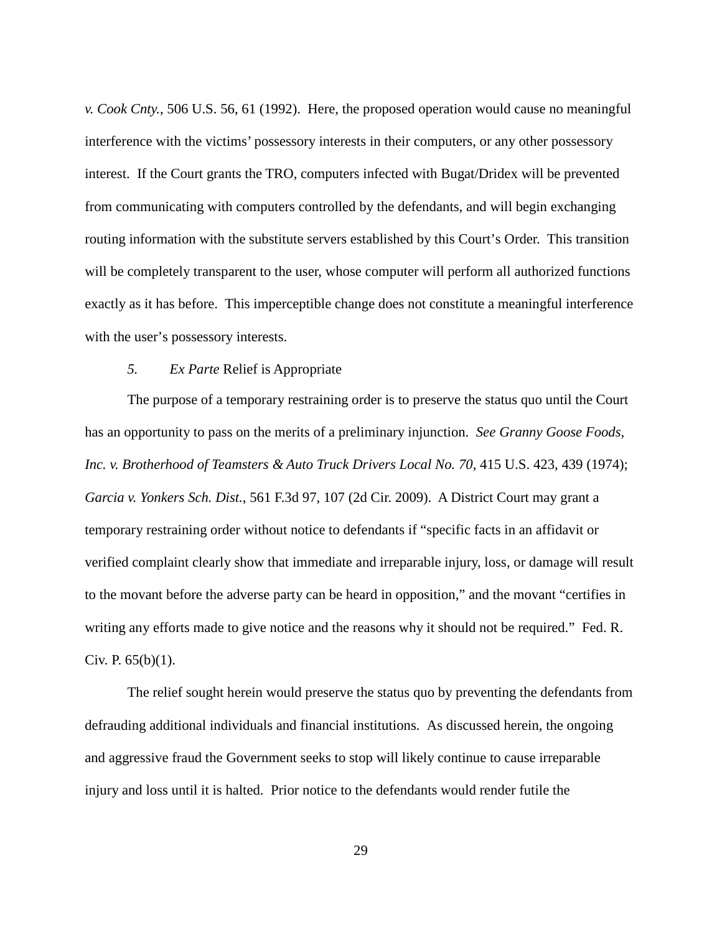*v. Cook Cnty.*, 506 U.S. 56, 61 (1992). Here, the proposed operation would cause no meaningful interference with the victims' possessory interests in their computers, or any other possessory interest. If the Court grants the TRO, computers infected with Bugat/Dridex will be prevented from communicating with computers controlled by the defendants, and will begin exchanging routing information with the substitute servers established by this Court's Order. This transition will be completely transparent to the user, whose computer will perform all authorized functions exactly as it has before. This imperceptible change does not constitute a meaningful interference with the user's possessory interests.

## *5. Ex Parte* Relief is Appropriate

The purpose of a temporary restraining order is to preserve the status quo until the Court has an opportunity to pass on the merits of a preliminary injunction. *See Granny Goose Foods, Inc. v. Brotherhood of Teamsters & Auto Truck Drivers Local No. 70*, 415 U.S. 423, 439 (1974); *Garcia v. Yonkers Sch. Dist.*, 561 F.3d 97, 107 (2d Cir. 2009). A District Court may grant a temporary restraining order without notice to defendants if "specific facts in an affidavit or verified complaint clearly show that immediate and irreparable injury, loss, or damage will result to the movant before the adverse party can be heard in opposition," and the movant "certifies in writing any efforts made to give notice and the reasons why it should not be required." Fed. R. Civ. P.  $65(b)(1)$ .

The relief sought herein would preserve the status quo by preventing the defendants from defrauding additional individuals and financial institutions. As discussed herein, the ongoing and aggressive fraud the Government seeks to stop will likely continue to cause irreparable injury and loss until it is halted. Prior notice to the defendants would render futile the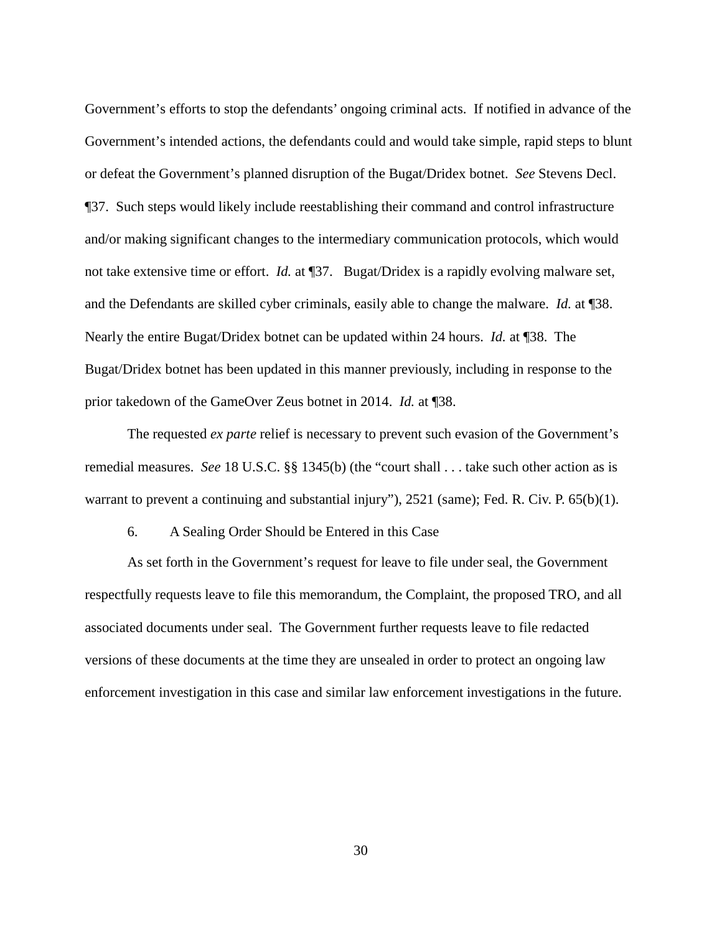Government's efforts to stop the defendants' ongoing criminal acts. If notified in advance of the Government's intended actions, the defendants could and would take simple, rapid steps to blunt or defeat the Government's planned disruption of the Bugat/Dridex botnet. *See* Stevens Decl. ¶37. Such steps would likely include reestablishing their command and control infrastructure and/or making significant changes to the intermediary communication protocols, which would not take extensive time or effort. *Id.* at ¶37. Bugat/Dridex is a rapidly evolving malware set, and the Defendants are skilled cyber criminals, easily able to change the malware. *Id.* at ¶38. Nearly the entire Bugat/Dridex botnet can be updated within 24 hours. *Id.* at ¶38. The Bugat/Dridex botnet has been updated in this manner previously, including in response to the prior takedown of the GameOver Zeus botnet in 2014. *Id.* at ¶38.

The requested *ex parte* relief is necessary to prevent such evasion of the Government's remedial measures. *See* 18 U.S.C. §§ 1345(b) (the "court shall . . . take such other action as is warrant to prevent a continuing and substantial injury"), 2521 (same); Fed. R. Civ. P. 65(b)(1).

# 6. A Sealing Order Should be Entered in this Case

As set forth in the Government's request for leave to file under seal, the Government respectfully requests leave to file this memorandum, the Complaint, the proposed TRO, and all associated documents under seal. The Government further requests leave to file redacted versions of these documents at the time they are unsealed in order to protect an ongoing law enforcement investigation in this case and similar law enforcement investigations in the future.